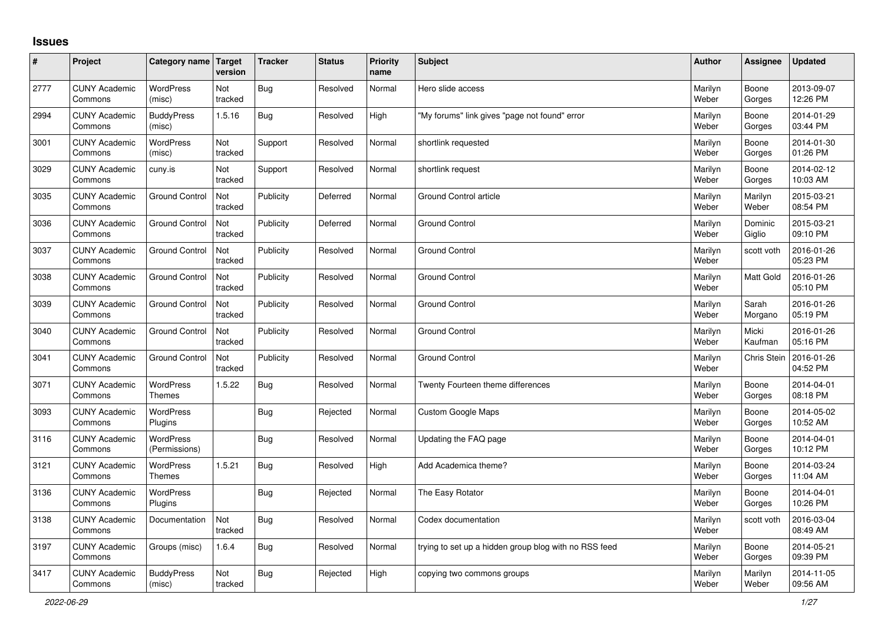## **Issues**

| #    | Project                         | Category name Target              | version        | <b>Tracker</b> | <b>Status</b> | <b>Priority</b><br>name | <b>Subject</b>                                        | <b>Author</b>    | Assignee           | <b>Updated</b>         |
|------|---------------------------------|-----------------------------------|----------------|----------------|---------------|-------------------------|-------------------------------------------------------|------------------|--------------------|------------------------|
| 2777 | <b>CUNY Academic</b><br>Commons | <b>WordPress</b><br>(misc)        | Not<br>tracked | Bug            | Resolved      | Normal                  | Hero slide access                                     | Marilyn<br>Weber | Boone<br>Gorges    | 2013-09-07<br>12:26 PM |
| 2994 | <b>CUNY Academic</b><br>Commons | <b>BuddyPress</b><br>(misc)       | 1.5.16         | Bug            | Resolved      | High                    | 'My forums" link gives "page not found" error         | Marilyn<br>Weber | Boone<br>Gorges    | 2014-01-29<br>03:44 PM |
| 3001 | <b>CUNY Academic</b><br>Commons | <b>WordPress</b><br>(misc)        | Not<br>tracked | Support        | Resolved      | Normal                  | shortlink requested                                   | Marilyn<br>Weber | Boone<br>Gorges    | 2014-01-30<br>01:26 PM |
| 3029 | <b>CUNY Academic</b><br>Commons | cuny.is                           | Not<br>tracked | Support        | Resolved      | Normal                  | shortlink request                                     | Marilyn<br>Weber | Boone<br>Gorges    | 2014-02-12<br>10:03 AM |
| 3035 | <b>CUNY Academic</b><br>Commons | <b>Ground Control</b>             | Not<br>tracked | Publicity      | Deferred      | Normal                  | Ground Control article                                | Marilyn<br>Weber | Marilyn<br>Weber   | 2015-03-21<br>08:54 PM |
| 3036 | <b>CUNY Academic</b><br>Commons | <b>Ground Control</b>             | Not<br>tracked | Publicity      | Deferred      | Normal                  | <b>Ground Control</b>                                 | Marilyn<br>Weber | Dominic<br>Giglio  | 2015-03-21<br>09:10 PM |
| 3037 | <b>CUNY Academic</b><br>Commons | <b>Ground Control</b>             | Not<br>tracked | Publicity      | Resolved      | Normal                  | <b>Ground Control</b>                                 | Marilyn<br>Weber | scott voth         | 2016-01-26<br>05:23 PM |
| 3038 | <b>CUNY Academic</b><br>Commons | <b>Ground Control</b>             | Not<br>tracked | Publicity      | Resolved      | Normal                  | Ground Control                                        | Marilyn<br>Weber | Matt Gold          | 2016-01-26<br>05:10 PM |
| 3039 | <b>CUNY Academic</b><br>Commons | <b>Ground Control</b>             | Not<br>tracked | Publicity      | Resolved      | Normal                  | <b>Ground Control</b>                                 | Marilyn<br>Weber | Sarah<br>Morgano   | 2016-01-26<br>05:19 PM |
| 3040 | <b>CUNY Academic</b><br>Commons | <b>Ground Control</b>             | Not<br>tracked | Publicity      | Resolved      | Normal                  | <b>Ground Control</b>                                 | Marilyn<br>Weber | Micki<br>Kaufman   | 2016-01-26<br>05:16 PM |
| 3041 | <b>CUNY Academic</b><br>Commons | <b>Ground Control</b>             | Not<br>tracked | Publicity      | Resolved      | Normal                  | <b>Ground Control</b>                                 | Marilyn<br>Weber | <b>Chris Stein</b> | 2016-01-26<br>04:52 PM |
| 3071 | <b>CUNY Academic</b><br>Commons | WordPress<br><b>Themes</b>        | 1.5.22         | <b>Bug</b>     | Resolved      | Normal                  | Twenty Fourteen theme differences                     | Marilyn<br>Weber | Boone<br>Gorges    | 2014-04-01<br>08:18 PM |
| 3093 | <b>CUNY Academic</b><br>Commons | <b>WordPress</b><br>Plugins       |                | Bug            | Rejected      | Normal                  | Custom Google Maps                                    | Marilyn<br>Weber | Boone<br>Gorges    | 2014-05-02<br>10:52 AM |
| 3116 | <b>CUNY Academic</b><br>Commons | <b>WordPress</b><br>(Permissions) |                | Bug            | Resolved      | Normal                  | Updating the FAQ page                                 | Marilyn<br>Weber | Boone<br>Gorges    | 2014-04-01<br>10:12 PM |
| 3121 | <b>CUNY Academic</b><br>Commons | <b>WordPress</b><br><b>Themes</b> | 1.5.21         | <b>Bug</b>     | Resolved      | High                    | Add Academica theme?                                  | Marilyn<br>Weber | Boone<br>Gorges    | 2014-03-24<br>11:04 AM |
| 3136 | <b>CUNY Academic</b><br>Commons | WordPress<br><b>Plugins</b>       |                | Bug            | Rejected      | Normal                  | The Easy Rotator                                      | Marilyn<br>Weber | Boone<br>Gorges    | 2014-04-01<br>10:26 PM |
| 3138 | <b>CUNY Academic</b><br>Commons | Documentation                     | Not<br>tracked | <b>Bug</b>     | Resolved      | Normal                  | Codex documentation                                   | Marilyn<br>Weber | scott voth         | 2016-03-04<br>08:49 AM |
| 3197 | <b>CUNY Academic</b><br>Commons | Groups (misc)                     | 1.6.4          | Bug            | Resolved      | Normal                  | trying to set up a hidden group blog with no RSS feed | Marilyn<br>Weber | Boone<br>Gorges    | 2014-05-21<br>09:39 PM |
| 3417 | <b>CUNY Academic</b><br>Commons | <b>BuddyPress</b><br>(misc)       | Not<br>tracked | Bug            | Rejected      | High                    | copying two commons groups                            | Marilyn<br>Weber | Marilyn<br>Weber   | 2014-11-05<br>09:56 AM |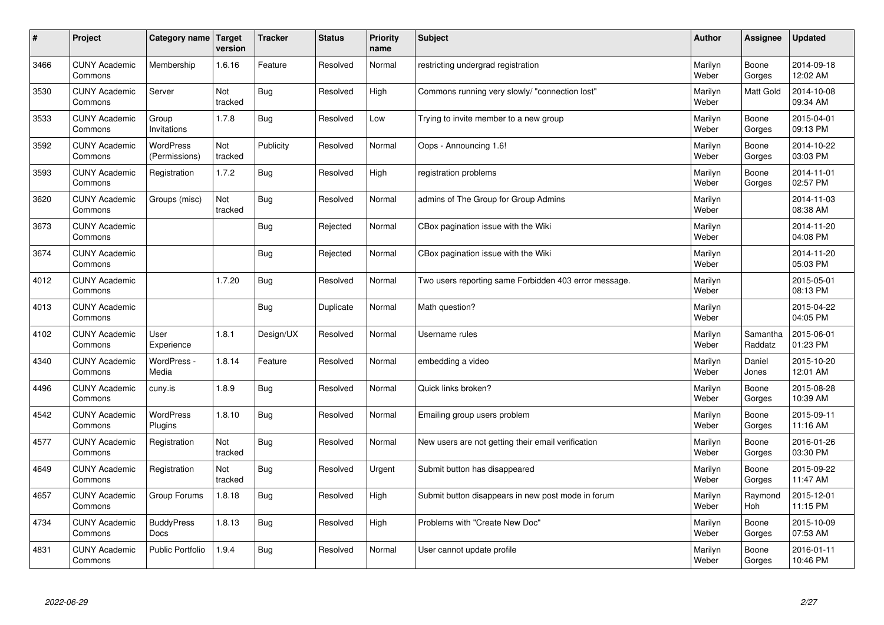| $\sharp$ | Project                         | Category name   Target            | version        | <b>Tracker</b> | <b>Status</b> | <b>Priority</b><br>name | <b>Subject</b>                                        | <b>Author</b>    | Assignee              | <b>Updated</b>         |
|----------|---------------------------------|-----------------------------------|----------------|----------------|---------------|-------------------------|-------------------------------------------------------|------------------|-----------------------|------------------------|
| 3466     | <b>CUNY Academic</b><br>Commons | Membership                        | 1.6.16         | Feature        | Resolved      | Normal                  | restricting undergrad registration                    | Marilyn<br>Weber | Boone<br>Gorges       | 2014-09-18<br>12:02 AM |
| 3530     | <b>CUNY Academic</b><br>Commons | Server                            | Not<br>tracked | Bug            | Resolved      | High                    | Commons running very slowly/ "connection lost"        | Marilyn<br>Weber | <b>Matt Gold</b>      | 2014-10-08<br>09:34 AM |
| 3533     | <b>CUNY Academic</b><br>Commons | Group<br>Invitations              | 1.7.8          | Bug            | Resolved      | Low                     | Trying to invite member to a new group                | Marilyn<br>Weber | Boone<br>Gorges       | 2015-04-01<br>09:13 PM |
| 3592     | <b>CUNY Academic</b><br>Commons | <b>WordPress</b><br>(Permissions) | Not<br>tracked | Publicity      | Resolved      | Normal                  | Oops - Announcing 1.6!                                | Marilyn<br>Weber | Boone<br>Gorges       | 2014-10-22<br>03:03 PM |
| 3593     | <b>CUNY Academic</b><br>Commons | Registration                      | 1.7.2          | Bug            | Resolved      | High                    | registration problems                                 | Marilyn<br>Weber | Boone<br>Gorges       | 2014-11-01<br>02:57 PM |
| 3620     | <b>CUNY Academic</b><br>Commons | Groups (misc)                     | Not<br>tracked | Bug            | Resolved      | Normal                  | admins of The Group for Group Admins                  | Marilyn<br>Weber |                       | 2014-11-03<br>08:38 AM |
| 3673     | <b>CUNY Academic</b><br>Commons |                                   |                | Bug            | Rejected      | Normal                  | CBox pagination issue with the Wiki                   | Marilyn<br>Weber |                       | 2014-11-20<br>04:08 PM |
| 3674     | <b>CUNY Academic</b><br>Commons |                                   |                | Bug            | Rejected      | Normal                  | CBox pagination issue with the Wiki                   | Marilyn<br>Weber |                       | 2014-11-20<br>05:03 PM |
| 4012     | <b>CUNY Academic</b><br>Commons |                                   | 1.7.20         | Bug            | Resolved      | Normal                  | Two users reporting same Forbidden 403 error message. | Marilyn<br>Weber |                       | 2015-05-01<br>08:13 PM |
| 4013     | <b>CUNY Academic</b><br>Commons |                                   |                | Bug            | Duplicate     | Normal                  | Math question?                                        | Marilyn<br>Weber |                       | 2015-04-22<br>04:05 PM |
| 4102     | <b>CUNY Academic</b><br>Commons | User<br>Experience                | 1.8.1          | Design/UX      | Resolved      | Normal                  | Username rules                                        | Marilyn<br>Weber | Samantha<br>Raddatz   | 2015-06-01<br>01:23 PM |
| 4340     | <b>CUNY Academic</b><br>Commons | WordPress -<br>Media              | 1.8.14         | Feature        | Resolved      | Normal                  | embedding a video                                     | Marilyn<br>Weber | Daniel<br>Jones       | 2015-10-20<br>12:01 AM |
| 4496     | <b>CUNY Academic</b><br>Commons | cuny.is                           | 1.8.9          | Bug            | Resolved      | Normal                  | Quick links broken?                                   | Marilyn<br>Weber | Boone<br>Gorges       | 2015-08-28<br>10:39 AM |
| 4542     | <b>CUNY Academic</b><br>Commons | WordPress<br>Plugins              | 1.8.10         | <b>Bug</b>     | Resolved      | Normal                  | Emailing group users problem                          | Marilyn<br>Weber | Boone<br>Gorges       | 2015-09-11<br>11:16 AM |
| 4577     | <b>CUNY Academic</b><br>Commons | Registration                      | Not<br>tracked | Bug            | Resolved      | Normal                  | New users are not getting their email verification    | Marilyn<br>Weber | Boone<br>Gorges       | 2016-01-26<br>03:30 PM |
| 4649     | <b>CUNY Academic</b><br>Commons | Registration                      | Not<br>tracked | Bug            | Resolved      | Urgent                  | Submit button has disappeared                         | Marilyn<br>Weber | Boone<br>Gorges       | 2015-09-22<br>11:47 AM |
| 4657     | <b>CUNY Academic</b><br>Commons | Group Forums                      | 1.8.18         | Bug            | Resolved      | High                    | Submit button disappears in new post mode in forum    | Marilyn<br>Weber | Raymond<br><b>Hoh</b> | 2015-12-01<br>11:15 PM |
| 4734     | <b>CUNY Academic</b><br>Commons | <b>BuddyPress</b><br>Docs         | 1.8.13         | <b>Bug</b>     | Resolved      | High                    | Problems with "Create New Doc"                        | Marilyn<br>Weber | Boone<br>Gorges       | 2015-10-09<br>07:53 AM |
| 4831     | <b>CUNY Academic</b><br>Commons | <b>Public Portfolio</b>           | 1.9.4          | Bug            | Resolved      | Normal                  | User cannot update profile                            | Marilyn<br>Weber | Boone<br>Gorges       | 2016-01-11<br>10:46 PM |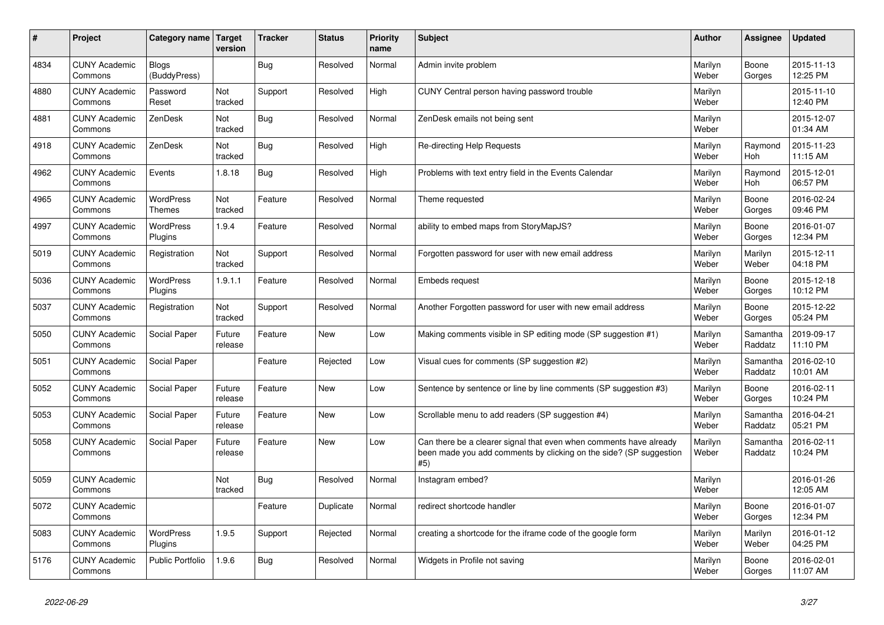| #    | Project                         | Category name                | <b>Target</b><br>version | <b>Tracker</b> | <b>Status</b> | <b>Priority</b><br>name | <b>Subject</b>                                                                                                                                  | Author           | Assignee            | <b>Updated</b>         |
|------|---------------------------------|------------------------------|--------------------------|----------------|---------------|-------------------------|-------------------------------------------------------------------------------------------------------------------------------------------------|------------------|---------------------|------------------------|
| 4834 | <b>CUNY Academic</b><br>Commons | <b>Blogs</b><br>(BuddyPress) |                          | Bug            | Resolved      | Normal                  | Admin invite problem                                                                                                                            | Marilyn<br>Weber | Boone<br>Gorges     | 2015-11-13<br>12:25 PM |
| 4880 | <b>CUNY Academic</b><br>Commons | Password<br>Reset            | Not<br>tracked           | Support        | Resolved      | High                    | CUNY Central person having password trouble                                                                                                     | Marilyn<br>Weber |                     | 2015-11-10<br>12:40 PM |
| 4881 | <b>CUNY Academic</b><br>Commons | ZenDesk                      | Not<br>tracked           | <b>Bug</b>     | Resolved      | Normal                  | ZenDesk emails not being sent                                                                                                                   | Marilyn<br>Weber |                     | 2015-12-07<br>01:34 AM |
| 4918 | <b>CUNY Academic</b><br>Commons | ZenDesk                      | Not<br>tracked           | <b>Bug</b>     | Resolved      | High                    | <b>Re-directing Help Requests</b>                                                                                                               | Marilyn<br>Weber | Raymond<br>Hoh      | 2015-11-23<br>11:15 AM |
| 4962 | <b>CUNY Academic</b><br>Commons | Events                       | 1.8.18                   | Bug            | Resolved      | High                    | Problems with text entry field in the Events Calendar                                                                                           | Marilyn<br>Weber | Raymond<br>Hoh      | 2015-12-01<br>06:57 PM |
| 4965 | <b>CUNY Academic</b><br>Commons | WordPress<br>Themes          | Not<br>tracked           | Feature        | Resolved      | Normal                  | Theme requested                                                                                                                                 | Marilyn<br>Weber | Boone<br>Gorges     | 2016-02-24<br>09:46 PM |
| 4997 | <b>CUNY Academic</b><br>Commons | <b>WordPress</b><br>Plugins  | 1.9.4                    | Feature        | Resolved      | Normal                  | ability to embed maps from StoryMapJS?                                                                                                          | Marilyn<br>Weber | Boone<br>Gorges     | 2016-01-07<br>12:34 PM |
| 5019 | <b>CUNY Academic</b><br>Commons | Registration                 | Not<br>tracked           | Support        | Resolved      | Normal                  | Forgotten password for user with new email address                                                                                              | Marilyn<br>Weber | Marilyn<br>Weber    | 2015-12-11<br>04:18 PM |
| 5036 | <b>CUNY Academic</b><br>Commons | WordPress<br>Plugins         | 1.9.1.1                  | Feature        | Resolved      | Normal                  | Embeds request                                                                                                                                  | Marilyn<br>Weber | Boone<br>Gorges     | 2015-12-18<br>10:12 PM |
| 5037 | <b>CUNY Academic</b><br>Commons | Registration                 | Not<br>tracked           | Support        | Resolved      | Normal                  | Another Forgotten password for user with new email address                                                                                      | Marilyn<br>Weber | Boone<br>Gorges     | 2015-12-22<br>05:24 PM |
| 5050 | <b>CUNY Academic</b><br>Commons | Social Paper                 | Future<br>release        | Feature        | <b>New</b>    | Low                     | Making comments visible in SP editing mode (SP suggestion #1)                                                                                   | Marilyn<br>Weber | Samantha<br>Raddatz | 2019-09-17<br>11:10 PM |
| 5051 | <b>CUNY Academic</b><br>Commons | Social Paper                 |                          | Feature        | Rejected      | Low                     | Visual cues for comments (SP suggestion #2)                                                                                                     | Marilyn<br>Weber | Samantha<br>Raddatz | 2016-02-10<br>10:01 AM |
| 5052 | <b>CUNY Academic</b><br>Commons | Social Paper                 | Future<br>release        | Feature        | <b>New</b>    | Low                     | Sentence by sentence or line by line comments (SP suggestion #3)                                                                                | Marilyn<br>Weber | Boone<br>Gorges     | 2016-02-11<br>10:24 PM |
| 5053 | <b>CUNY Academic</b><br>Commons | Social Paper                 | Future<br>release        | Feature        | <b>New</b>    | Low                     | Scrollable menu to add readers (SP suggestion #4)                                                                                               | Marilyn<br>Weber | Samantha<br>Raddatz | 2016-04-21<br>05:21 PM |
| 5058 | <b>CUNY Academic</b><br>Commons | Social Paper                 | Future<br>release        | Feature        | <b>New</b>    | Low                     | Can there be a clearer signal that even when comments have already<br>been made you add comments by clicking on the side? (SP suggestion<br>#5) | Marilyn<br>Weber | Samantha<br>Raddatz | 2016-02-11<br>10:24 PM |
| 5059 | <b>CUNY Academic</b><br>Commons |                              | Not<br>tracked           | Bug            | Resolved      | Normal                  | Instagram embed?                                                                                                                                | Marilyn<br>Weber |                     | 2016-01-26<br>12:05 AM |
| 5072 | <b>CUNY Academic</b><br>Commons |                              |                          | Feature        | Duplicate     | Normal                  | redirect shortcode handler                                                                                                                      | Marilyn<br>Weber | Boone<br>Gorges     | 2016-01-07<br>12:34 PM |
| 5083 | <b>CUNY Academic</b><br>Commons | WordPress<br>Plugins         | 1.9.5                    | Support        | Rejected      | Normal                  | creating a shortcode for the iframe code of the google form                                                                                     | Marilyn<br>Weber | Marilyn<br>Weber    | 2016-01-12<br>04:25 PM |
| 5176 | <b>CUNY Academic</b><br>Commons | Public Portfolio             | 1.9.6                    | Bug            | Resolved      | Normal                  | Widgets in Profile not saving                                                                                                                   | Marilyn<br>Weber | Boone<br>Gorges     | 2016-02-01<br>11:07 AM |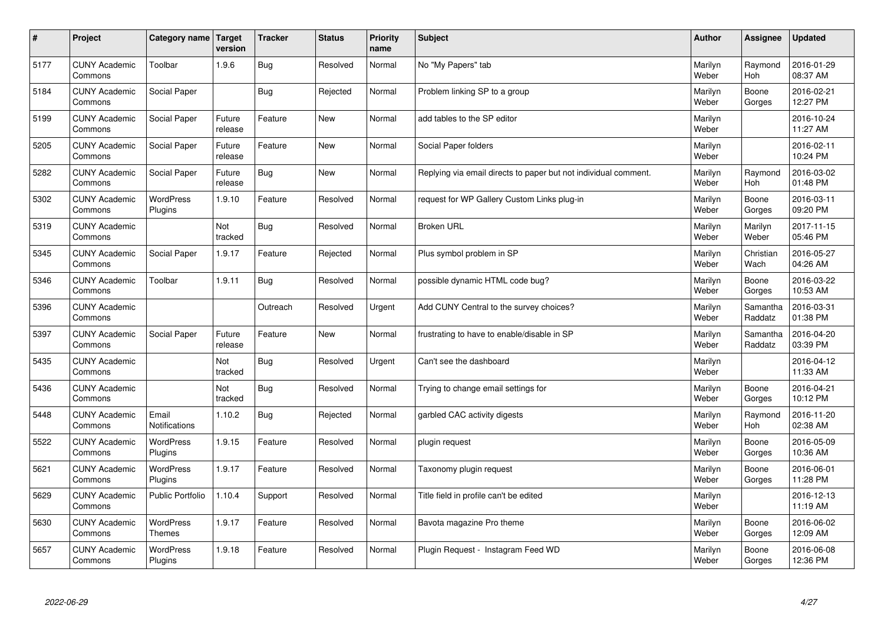| $\sharp$ | Project                         | Category name   Target      | version           | <b>Tracker</b> | <b>Status</b> | <b>Priority</b><br>name | <b>Subject</b>                                                  | <b>Author</b>    | Assignee              | <b>Updated</b>         |
|----------|---------------------------------|-----------------------------|-------------------|----------------|---------------|-------------------------|-----------------------------------------------------------------|------------------|-----------------------|------------------------|
| 5177     | <b>CUNY Academic</b><br>Commons | Toolbar                     | 1.9.6             | Bug            | Resolved      | Normal                  | No "My Papers" tab                                              | Marilyn<br>Weber | Raymond<br>Hoh        | 2016-01-29<br>08:37 AM |
| 5184     | <b>CUNY Academic</b><br>Commons | Social Paper                |                   | Bug            | Rejected      | Normal                  | Problem linking SP to a group                                   | Marilyn<br>Weber | Boone<br>Gorges       | 2016-02-21<br>12:27 PM |
| 5199     | <b>CUNY Academic</b><br>Commons | Social Paper                | Future<br>release | Feature        | New           | Normal                  | add tables to the SP editor                                     | Marilyn<br>Weber |                       | 2016-10-24<br>11:27 AM |
| 5205     | <b>CUNY Academic</b><br>Commons | Social Paper                | Future<br>release | Feature        | <b>New</b>    | Normal                  | Social Paper folders                                            | Marilyn<br>Weber |                       | 2016-02-11<br>10:24 PM |
| 5282     | <b>CUNY Academic</b><br>Commons | Social Paper                | Future<br>release | Bug            | <b>New</b>    | Normal                  | Replying via email directs to paper but not individual comment. | Marilyn<br>Weber | Raymond<br>Hoh        | 2016-03-02<br>01:48 PM |
| 5302     | <b>CUNY Academic</b><br>Commons | WordPress<br>Plugins        | 1.9.10            | Feature        | Resolved      | Normal                  | request for WP Gallery Custom Links plug-in                     | Marilyn<br>Weber | Boone<br>Gorges       | 2016-03-11<br>09:20 PM |
| 5319     | <b>CUNY Academic</b><br>Commons |                             | Not<br>tracked    | <b>Bug</b>     | Resolved      | Normal                  | <b>Broken URL</b>                                               | Marilyn<br>Weber | Marilyn<br>Weber      | 2017-11-15<br>05:46 PM |
| 5345     | <b>CUNY Academic</b><br>Commons | Social Paper                | 1.9.17            | Feature        | Rejected      | Normal                  | Plus symbol problem in SP                                       | Marilyn<br>Weber | Christian<br>Wach     | 2016-05-27<br>04:26 AM |
| 5346     | <b>CUNY Academic</b><br>Commons | Toolbar                     | 1.9.11            | Bug            | Resolved      | Normal                  | possible dynamic HTML code bug?                                 | Marilyn<br>Weber | Boone<br>Gorges       | 2016-03-22<br>10:53 AM |
| 5396     | <b>CUNY Academic</b><br>Commons |                             |                   | Outreach       | Resolved      | Urgent                  | Add CUNY Central to the survey choices?                         | Marilyn<br>Weber | Samantha<br>Raddatz   | 2016-03-31<br>01:38 PM |
| 5397     | <b>CUNY Academic</b><br>Commons | Social Paper                | Future<br>release | Feature        | New           | Normal                  | frustrating to have to enable/disable in SP                     | Marilyn<br>Weber | Samantha<br>Raddatz   | 2016-04-20<br>03:39 PM |
| 5435     | <b>CUNY Academic</b><br>Commons |                             | Not<br>tracked    | <b>Bug</b>     | Resolved      | Urgent                  | Can't see the dashboard                                         | Marilyn<br>Weber |                       | 2016-04-12<br>11:33 AM |
| 5436     | <b>CUNY Academic</b><br>Commons |                             | Not<br>tracked    | Bug            | Resolved      | Normal                  | Trying to change email settings for                             | Marilyn<br>Weber | Boone<br>Gorges       | 2016-04-21<br>10:12 PM |
| 5448     | <b>CUNY Academic</b><br>Commons | Email<br>Notifications      | 1.10.2            | Bug            | Rejected      | Normal                  | garbled CAC activity digests                                    | Marilyn<br>Weber | Raymond<br><b>Hoh</b> | 2016-11-20<br>02:38 AM |
| 5522     | <b>CUNY Academic</b><br>Commons | <b>WordPress</b><br>Plugins | 1.9.15            | Feature        | Resolved      | Normal                  | plugin request                                                  | Marilyn<br>Weber | Boone<br>Gorges       | 2016-05-09<br>10:36 AM |
| 5621     | <b>CUNY Academic</b><br>Commons | WordPress<br>Plugins        | 1.9.17            | Feature        | Resolved      | Normal                  | Taxonomy plugin request                                         | Marilyn<br>Weber | Boone<br>Gorges       | 2016-06-01<br>11:28 PM |
| 5629     | <b>CUNY Academic</b><br>Commons | Public Portfolio            | 1.10.4            | Support        | Resolved      | Normal                  | Title field in profile can't be edited                          | Marilyn<br>Weber |                       | 2016-12-13<br>11:19 AM |
| 5630     | <b>CUNY Academic</b><br>Commons | WordPress<br><b>Themes</b>  | 1.9.17            | Feature        | Resolved      | Normal                  | Bavota magazine Pro theme                                       | Marilyn<br>Weber | Boone<br>Gorges       | 2016-06-02<br>12:09 AM |
| 5657     | <b>CUNY Academic</b><br>Commons | <b>WordPress</b><br>Plugins | 1.9.18            | Feature        | Resolved      | Normal                  | Plugin Request - Instagram Feed WD                              | Marilyn<br>Weber | Boone<br>Gorges       | 2016-06-08<br>12:36 PM |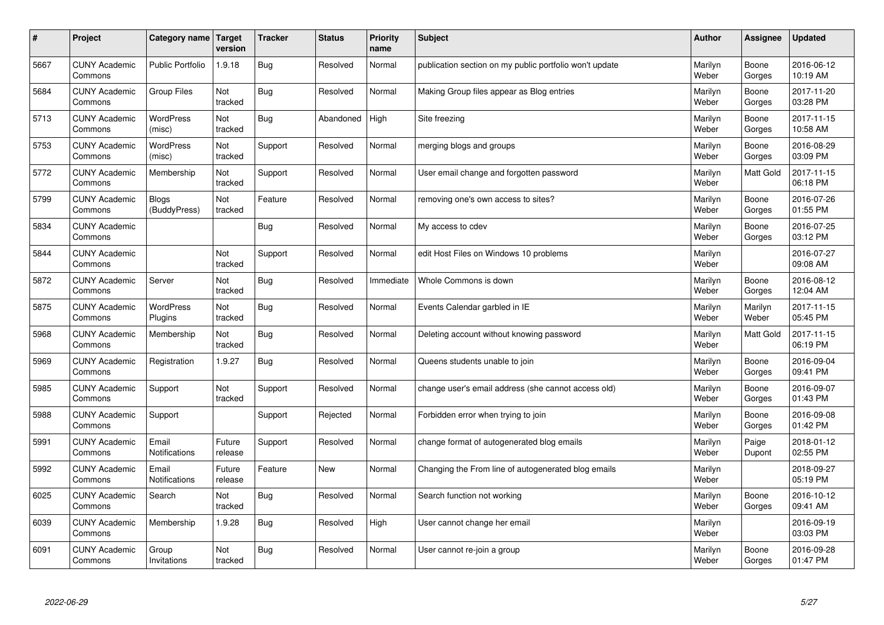| $\#$ | Project                         | Category name   Target       | version           | <b>Tracker</b> | <b>Status</b> | <b>Priority</b><br>name | <b>Subject</b>                                          | <b>Author</b>    | <b>Assignee</b>  | <b>Updated</b>         |
|------|---------------------------------|------------------------------|-------------------|----------------|---------------|-------------------------|---------------------------------------------------------|------------------|------------------|------------------------|
| 5667 | <b>CUNY Academic</b><br>Commons | <b>Public Portfolio</b>      | 1.9.18            | Bug            | Resolved      | Normal                  | publication section on my public portfolio won't update | Marilyn<br>Weber | Boone<br>Gorges  | 2016-06-12<br>10:19 AM |
| 5684 | <b>CUNY Academic</b><br>Commons | <b>Group Files</b>           | Not<br>tracked    | Bug            | Resolved      | Normal                  | Making Group files appear as Blog entries               | Marilyn<br>Weber | Boone<br>Gorges  | 2017-11-20<br>03:28 PM |
| 5713 | <b>CUNY Academic</b><br>Commons | <b>WordPress</b><br>(misc)   | Not<br>tracked    | Bug            | Abandoned     | High                    | Site freezing                                           | Marilyn<br>Weber | Boone<br>Gorges  | 2017-11-15<br>10:58 AM |
| 5753 | <b>CUNY Academic</b><br>Commons | <b>WordPress</b><br>(misc)   | Not<br>tracked    | Support        | Resolved      | Normal                  | merging blogs and groups                                | Marilyn<br>Weber | Boone<br>Gorges  | 2016-08-29<br>03:09 PM |
| 5772 | <b>CUNY Academic</b><br>Commons | Membership                   | Not<br>tracked    | Support        | Resolved      | Normal                  | User email change and forgotten password                | Marilyn<br>Weber | <b>Matt Gold</b> | 2017-11-15<br>06:18 PM |
| 5799 | <b>CUNY Academic</b><br>Commons | <b>Blogs</b><br>(BuddyPress) | Not<br>tracked    | Feature        | Resolved      | Normal                  | removing one's own access to sites?                     | Marilyn<br>Weber | Boone<br>Gorges  | 2016-07-26<br>01:55 PM |
| 5834 | <b>CUNY Academic</b><br>Commons |                              |                   | Bug            | Resolved      | Normal                  | My access to cdev                                       | Marilyn<br>Weber | Boone<br>Gorges  | 2016-07-25<br>03:12 PM |
| 5844 | <b>CUNY Academic</b><br>Commons |                              | Not<br>tracked    | Support        | Resolved      | Normal                  | edit Host Files on Windows 10 problems                  | Marilyn<br>Weber |                  | 2016-07-27<br>09:08 AM |
| 5872 | <b>CUNY Academic</b><br>Commons | Server                       | Not<br>tracked    | Bug            | Resolved      | Immediate               | Whole Commons is down                                   | Marilyn<br>Weber | Boone<br>Gorges  | 2016-08-12<br>12:04 AM |
| 5875 | <b>CUNY Academic</b><br>Commons | <b>WordPress</b><br>Plugins  | Not<br>tracked    | Bug            | Resolved      | Normal                  | Events Calendar garbled in IE                           | Marilyn<br>Weber | Marilyn<br>Weber | 2017-11-15<br>05:45 PM |
| 5968 | <b>CUNY Academic</b><br>Commons | Membership                   | Not<br>tracked    | Bug            | Resolved      | Normal                  | Deleting account without knowing password               | Marilyn<br>Weber | <b>Matt Gold</b> | 2017-11-15<br>06:19 PM |
| 5969 | <b>CUNY Academic</b><br>Commons | Registration                 | 1.9.27            | Bug            | Resolved      | Normal                  | Queens students unable to join                          | Marilyn<br>Weber | Boone<br>Gorges  | 2016-09-04<br>09:41 PM |
| 5985 | <b>CUNY Academic</b><br>Commons | Support                      | Not<br>tracked    | Support        | Resolved      | Normal                  | change user's email address (she cannot access old)     | Marilyn<br>Weber | Boone<br>Gorges  | 2016-09-07<br>01:43 PM |
| 5988 | <b>CUNY Academic</b><br>Commons | Support                      |                   | Support        | Rejected      | Normal                  | Forbidden error when trying to join                     | Marilyn<br>Weber | Boone<br>Gorges  | 2016-09-08<br>01:42 PM |
| 5991 | <b>CUNY Academic</b><br>Commons | Email<br>Notifications       | Future<br>release | Support        | Resolved      | Normal                  | change format of autogenerated blog emails              | Marilyn<br>Weber | Paige<br>Dupont  | 2018-01-12<br>02:55 PM |
| 5992 | <b>CUNY Academic</b><br>Commons | Email<br>Notifications       | Future<br>release | Feature        | <b>New</b>    | Normal                  | Changing the From line of autogenerated blog emails     | Marilyn<br>Weber |                  | 2018-09-27<br>05:19 PM |
| 6025 | <b>CUNY Academic</b><br>Commons | Search                       | Not<br>tracked    | Bug            | Resolved      | Normal                  | Search function not working                             | Marilyn<br>Weber | Boone<br>Gorges  | 2016-10-12<br>09:41 AM |
| 6039 | <b>CUNY Academic</b><br>Commons | Membership                   | 1.9.28            | Bug            | Resolved      | High                    | User cannot change her email                            | Marilyn<br>Weber |                  | 2016-09-19<br>03:03 PM |
| 6091 | <b>CUNY Academic</b><br>Commons | Group<br>Invitations         | Not<br>tracked    | Bug            | Resolved      | Normal                  | User cannot re-join a group                             | Marilyn<br>Weber | Boone<br>Gorges  | 2016-09-28<br>01:47 PM |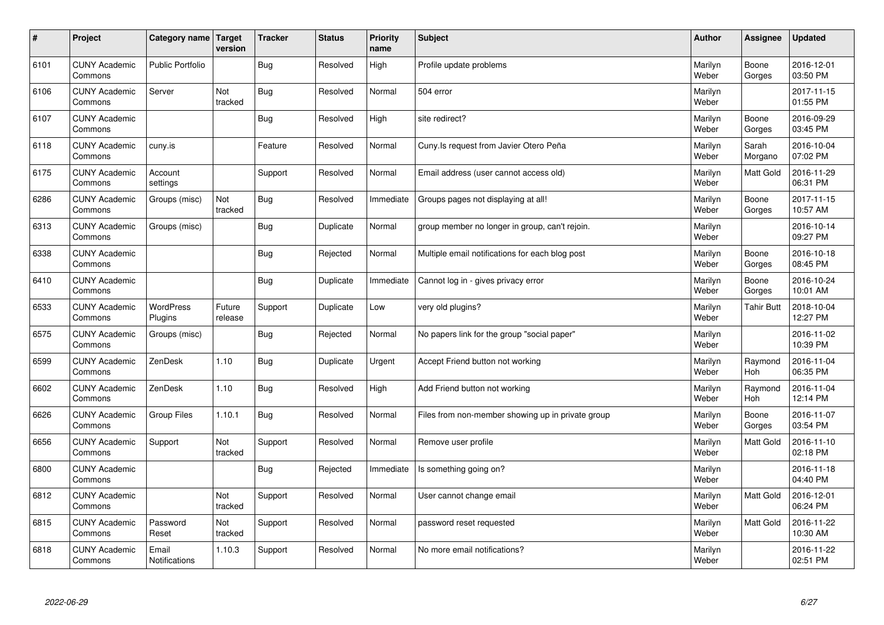| $\sharp$ | Project                         | Category name   Target        | version           | <b>Tracker</b> | <b>Status</b> | <b>Priority</b><br>name | <b>Subject</b>                                    | <b>Author</b>    | Assignee          | <b>Updated</b>         |
|----------|---------------------------------|-------------------------------|-------------------|----------------|---------------|-------------------------|---------------------------------------------------|------------------|-------------------|------------------------|
| 6101     | <b>CUNY Academic</b><br>Commons | <b>Public Portfolio</b>       |                   | Bug            | Resolved      | High                    | Profile update problems                           | Marilyn<br>Weber | Boone<br>Gorges   | 2016-12-01<br>03:50 PM |
| 6106     | <b>CUNY Academic</b><br>Commons | Server                        | Not<br>tracked    | Bug            | Resolved      | Normal                  | 504 error                                         | Marilyn<br>Weber |                   | 2017-11-15<br>01:55 PM |
| 6107     | <b>CUNY Academic</b><br>Commons |                               |                   | Bug            | Resolved      | High                    | site redirect?                                    | Marilyn<br>Weber | Boone<br>Gorges   | 2016-09-29<br>03:45 PM |
| 6118     | <b>CUNY Academic</b><br>Commons | cuny.is                       |                   | Feature        | Resolved      | Normal                  | Cuny. Is request from Javier Otero Peña           | Marilyn<br>Weber | Sarah<br>Morgano  | 2016-10-04<br>07:02 PM |
| 6175     | <b>CUNY Academic</b><br>Commons | Account<br>settings           |                   | Support        | Resolved      | Normal                  | Email address (user cannot access old)            | Marilyn<br>Weber | <b>Matt Gold</b>  | 2016-11-29<br>06:31 PM |
| 6286     | <b>CUNY Academic</b><br>Commons | Groups (misc)                 | Not<br>tracked    | Bug            | Resolved      | Immediate               | Groups pages not displaying at all!               | Marilyn<br>Weber | Boone<br>Gorges   | 2017-11-15<br>10:57 AM |
| 6313     | <b>CUNY Academic</b><br>Commons | Groups (misc)                 |                   | Bug            | Duplicate     | Normal                  | group member no longer in group, can't rejoin.    | Marilyn<br>Weber |                   | 2016-10-14<br>09:27 PM |
| 6338     | <b>CUNY Academic</b><br>Commons |                               |                   | <b>Bug</b>     | Rejected      | Normal                  | Multiple email notifications for each blog post   | Marilyn<br>Weber | Boone<br>Gorges   | 2016-10-18<br>08:45 PM |
| 6410     | <b>CUNY Academic</b><br>Commons |                               |                   | Bug            | Duplicate     | Immediate               | Cannot log in - gives privacy error               | Marilyn<br>Weber | Boone<br>Gorges   | 2016-10-24<br>10:01 AM |
| 6533     | <b>CUNY Academic</b><br>Commons | WordPress<br>Plugins          | Future<br>release | Support        | Duplicate     | Low                     | very old plugins?                                 | Marilyn<br>Weber | <b>Tahir Butt</b> | 2018-10-04<br>12:27 PM |
| 6575     | <b>CUNY Academic</b><br>Commons | Groups (misc)                 |                   | <b>Bug</b>     | Rejected      | Normal                  | No papers link for the group "social paper"       | Marilyn<br>Weber |                   | 2016-11-02<br>10:39 PM |
| 6599     | <b>CUNY Academic</b><br>Commons | ZenDesk                       | 1.10              | <b>Bug</b>     | Duplicate     | Urgent                  | Accept Friend button not working                  | Marilyn<br>Weber | Raymond<br>Hoh    | 2016-11-04<br>06:35 PM |
| 6602     | <b>CUNY Academic</b><br>Commons | ZenDesk                       | 1.10              | Bug            | Resolved      | High                    | Add Friend button not working                     | Marilyn<br>Weber | Raymond<br>Hoh    | 2016-11-04<br>12:14 PM |
| 6626     | <b>CUNY Academic</b><br>Commons | Group Files                   | 1.10.1            | Bug            | Resolved      | Normal                  | Files from non-member showing up in private group | Marilyn<br>Weber | Boone<br>Gorges   | 2016-11-07<br>03:54 PM |
| 6656     | <b>CUNY Academic</b><br>Commons | Support                       | Not<br>tracked    | Support        | Resolved      | Normal                  | Remove user profile                               | Marilyn<br>Weber | Matt Gold         | 2016-11-10<br>02:18 PM |
| 6800     | <b>CUNY Academic</b><br>Commons |                               |                   | Bug            | Rejected      | Immediate               | Is something going on?                            | Marilyn<br>Weber |                   | 2016-11-18<br>04:40 PM |
| 6812     | <b>CUNY Academic</b><br>Commons |                               | Not<br>tracked    | Support        | Resolved      | Normal                  | User cannot change email                          | Marilyn<br>Weber | Matt Gold         | 2016-12-01<br>06:24 PM |
| 6815     | <b>CUNY Academic</b><br>Commons | Password<br>Reset             | Not<br>tracked    | Support        | Resolved      | Normal                  | password reset requested                          | Marilyn<br>Weber | <b>Matt Gold</b>  | 2016-11-22<br>10:30 AM |
| 6818     | <b>CUNY Academic</b><br>Commons | Email<br><b>Notifications</b> | 1.10.3            | Support        | Resolved      | Normal                  | No more email notifications?                      | Marilyn<br>Weber |                   | 2016-11-22<br>02:51 PM |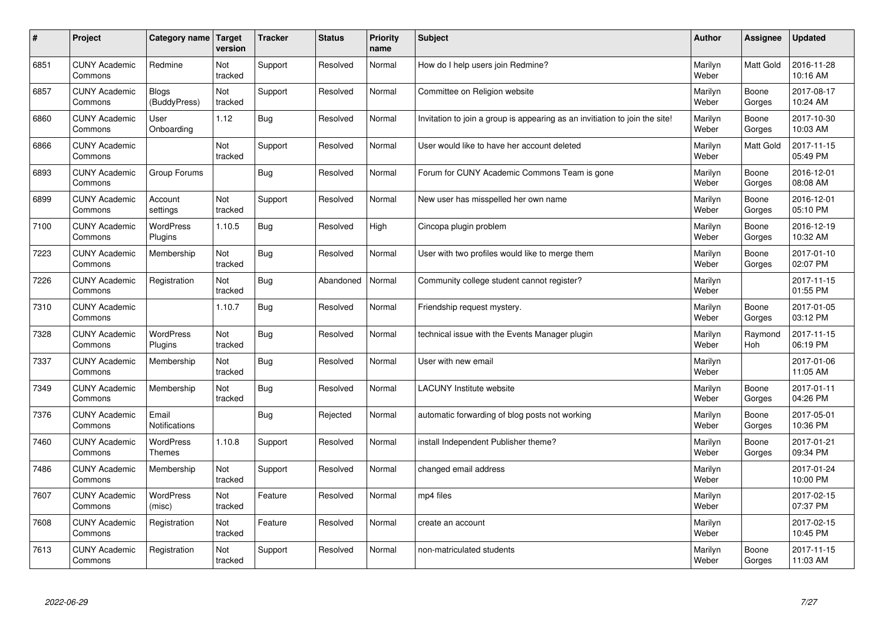| $\vert$ # | Project                         | Category name                | <b>Target</b><br>version | <b>Tracker</b> | <b>Status</b> | <b>Priority</b><br>name | <b>Subject</b>                                                              | <b>Author</b>    | <b>Assignee</b>  | <b>Updated</b>         |
|-----------|---------------------------------|------------------------------|--------------------------|----------------|---------------|-------------------------|-----------------------------------------------------------------------------|------------------|------------------|------------------------|
| 6851      | <b>CUNY Academic</b><br>Commons | Redmine                      | Not<br>tracked           | Support        | Resolved      | Normal                  | How do I help users join Redmine?                                           | Marilyn<br>Weber | <b>Matt Gold</b> | 2016-11-28<br>10:16 AM |
| 6857      | <b>CUNY Academic</b><br>Commons | <b>Blogs</b><br>(BuddyPress) | Not<br>tracked           | Support        | Resolved      | Normal                  | Committee on Religion website                                               | Marilyn<br>Weber | Boone<br>Gorges  | 2017-08-17<br>10:24 AM |
| 6860      | <b>CUNY Academic</b><br>Commons | User<br>Onboarding           | 1.12                     | Bug            | Resolved      | Normal                  | Invitation to join a group is appearing as an invitiation to join the site! | Marilyn<br>Weber | Boone<br>Gorges  | 2017-10-30<br>10:03 AM |
| 6866      | <b>CUNY Academic</b><br>Commons |                              | Not<br>tracked           | Support        | Resolved      | Normal                  | User would like to have her account deleted                                 | Marilyn<br>Weber | Matt Gold        | 2017-11-15<br>05:49 PM |
| 6893      | <b>CUNY Academic</b><br>Commons | Group Forums                 |                          | Bug            | Resolved      | Normal                  | Forum for CUNY Academic Commons Team is gone                                | Marilyn<br>Weber | Boone<br>Gorges  | 2016-12-01<br>08:08 AM |
| 6899      | <b>CUNY Academic</b><br>Commons | Account<br>settings          | Not<br>tracked           | Support        | Resolved      | Normal                  | New user has misspelled her own name                                        | Marilyn<br>Weber | Boone<br>Gorges  | 2016-12-01<br>05:10 PM |
| 7100      | <b>CUNY Academic</b><br>Commons | <b>WordPress</b><br>Plugins  | 1.10.5                   | Bug            | Resolved      | High                    | Cincopa plugin problem                                                      | Marilyn<br>Weber | Boone<br>Gorges  | 2016-12-19<br>10:32 AM |
| 7223      | <b>CUNY Academic</b><br>Commons | Membership                   | Not<br>tracked           | Bug            | Resolved      | Normal                  | User with two profiles would like to merge them                             | Marilyn<br>Weber | Boone<br>Gorges  | 2017-01-10<br>02:07 PM |
| 7226      | <b>CUNY Academic</b><br>Commons | Registration                 | Not<br>tracked           | Bug            | Abandoned     | Normal                  | Community college student cannot register?                                  | Marilyn<br>Weber |                  | 2017-11-15<br>01:55 PM |
| 7310      | <b>CUNY Academic</b><br>Commons |                              | 1.10.7                   | Bug            | Resolved      | Normal                  | Friendship request mystery.                                                 | Marilyn<br>Weber | Boone<br>Gorges  | 2017-01-05<br>03:12 PM |
| 7328      | <b>CUNY Academic</b><br>Commons | WordPress<br>Plugins         | Not<br>tracked           | Bug            | Resolved      | Normal                  | technical issue with the Events Manager plugin                              | Marilyn<br>Weber | Raymond<br>Hoh   | 2017-11-15<br>06:19 PM |
| 7337      | <b>CUNY Academic</b><br>Commons | Membership                   | Not<br>tracked           | <b>Bug</b>     | Resolved      | Normal                  | User with new email                                                         | Marilyn<br>Weber |                  | 2017-01-06<br>11:05 AM |
| 7349      | <b>CUNY Academic</b><br>Commons | Membership                   | Not<br>tracked           | Bug            | Resolved      | Normal                  | <b>LACUNY</b> Institute website                                             | Marilyn<br>Weber | Boone<br>Gorges  | 2017-01-11<br>04:26 PM |
| 7376      | <b>CUNY Academic</b><br>Commons | Email<br>Notifications       |                          | Bug            | Rejected      | Normal                  | automatic forwarding of blog posts not working                              | Marilyn<br>Weber | Boone<br>Gorges  | 2017-05-01<br>10:36 PM |
| 7460      | <b>CUNY Academic</b><br>Commons | WordPress<br><b>Themes</b>   | 1.10.8                   | Support        | Resolved      | Normal                  | install Independent Publisher theme?                                        | Marilyn<br>Weber | Boone<br>Gorges  | 2017-01-21<br>09:34 PM |
| 7486      | <b>CUNY Academic</b><br>Commons | Membership                   | Not<br>tracked           | Support        | Resolved      | Normal                  | changed email address                                                       | Marilyn<br>Weber |                  | 2017-01-24<br>10:00 PM |
| 7607      | <b>CUNY Academic</b><br>Commons | <b>WordPress</b><br>(misc)   | Not<br>tracked           | Feature        | Resolved      | Normal                  | mp4 files                                                                   | Marilyn<br>Weber |                  | 2017-02-15<br>07:37 PM |
| 7608      | <b>CUNY Academic</b><br>Commons | Registration                 | Not<br>tracked           | Feature        | Resolved      | Normal                  | create an account                                                           | Marilyn<br>Weber |                  | 2017-02-15<br>10:45 PM |
| 7613      | <b>CUNY Academic</b><br>Commons | Registration                 | Not<br>tracked           | Support        | Resolved      | Normal                  | non-matriculated students                                                   | Marilyn<br>Weber | Boone<br>Gorges  | 2017-11-15<br>11:03 AM |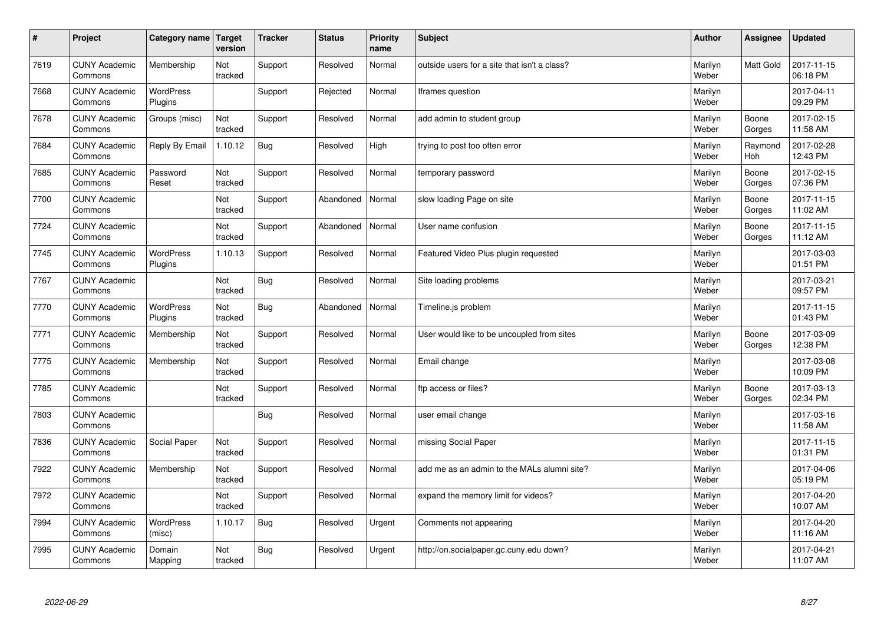| $\sharp$ | Project                         | Category name   Target      | version        | <b>Tracker</b> | <b>Status</b> | <b>Priority</b><br>name | <b>Subject</b>                               | <b>Author</b>    | Assignee              | <b>Updated</b>         |
|----------|---------------------------------|-----------------------------|----------------|----------------|---------------|-------------------------|----------------------------------------------|------------------|-----------------------|------------------------|
| 7619     | <b>CUNY Academic</b><br>Commons | Membership                  | Not<br>tracked | Support        | Resolved      | Normal                  | outside users for a site that isn't a class? | Marilyn<br>Weber | <b>Matt Gold</b>      | 2017-11-15<br>06:18 PM |
| 7668     | <b>CUNY Academic</b><br>Commons | <b>WordPress</b><br>Plugins |                | Support        | Rejected      | Normal                  | Iframes question                             | Marilyn<br>Weber |                       | 2017-04-11<br>09:29 PM |
| 7678     | <b>CUNY Academic</b><br>Commons | Groups (misc)               | Not<br>tracked | Support        | Resolved      | Normal                  | add admin to student group                   | Marilyn<br>Weber | Boone<br>Gorges       | 2017-02-15<br>11:58 AM |
| 7684     | <b>CUNY Academic</b><br>Commons | Reply By Email              | 1.10.12        | Bug            | Resolved      | High                    | trying to post too often error               | Marilyn<br>Weber | Raymond<br><b>Hoh</b> | 2017-02-28<br>12:43 PM |
| 7685     | <b>CUNY Academic</b><br>Commons | Password<br>Reset           | Not<br>tracked | Support        | Resolved      | Normal                  | temporary password                           | Marilyn<br>Weber | Boone<br>Gorges       | 2017-02-15<br>07:36 PM |
| 7700     | <b>CUNY Academic</b><br>Commons |                             | Not<br>tracked | Support        | Abandoned     | Normal                  | slow loading Page on site                    | Marilyn<br>Weber | Boone<br>Gorges       | 2017-11-15<br>11:02 AM |
| 7724     | <b>CUNY Academic</b><br>Commons |                             | Not<br>tracked | Support        | Abandoned     | Normal                  | User name confusion                          | Marilyn<br>Weber | Boone<br>Gorges       | 2017-11-15<br>11:12 AM |
| 7745     | <b>CUNY Academic</b><br>Commons | WordPress<br>Plugins        | 1.10.13        | Support        | Resolved      | Normal                  | Featured Video Plus plugin requested         | Marilyn<br>Weber |                       | 2017-03-03<br>01:51 PM |
| 7767     | <b>CUNY Academic</b><br>Commons |                             | Not<br>tracked | Bug            | Resolved      | Normal                  | Site loading problems                        | Marilyn<br>Weber |                       | 2017-03-21<br>09:57 PM |
| 7770     | <b>CUNY Academic</b><br>Commons | WordPress<br>Plugins        | Not<br>tracked | Bug            | Abandoned     | Normal                  | Timeline.js problem                          | Marilyn<br>Weber |                       | 2017-11-15<br>01:43 PM |
| 7771     | <b>CUNY Academic</b><br>Commons | Membership                  | Not<br>tracked | Support        | Resolved      | Normal                  | User would like to be uncoupled from sites   | Marilyn<br>Weber | Boone<br>Gorges       | 2017-03-09<br>12:38 PM |
| 7775     | <b>CUNY Academic</b><br>Commons | Membership                  | Not<br>tracked | Support        | Resolved      | Normal                  | Email change                                 | Marilyn<br>Weber |                       | 2017-03-08<br>10:09 PM |
| 7785     | <b>CUNY Academic</b><br>Commons |                             | Not<br>tracked | Support        | Resolved      | Normal                  | ftp access or files?                         | Marilyn<br>Weber | Boone<br>Gorges       | 2017-03-13<br>02:34 PM |
| 7803     | <b>CUNY Academic</b><br>Commons |                             |                | Bug            | Resolved      | Normal                  | user email change                            | Marilyn<br>Weber |                       | 2017-03-16<br>11:58 AM |
| 7836     | <b>CUNY Academic</b><br>Commons | Social Paper                | Not<br>tracked | Support        | Resolved      | Normal                  | missing Social Paper                         | Marilyn<br>Weber |                       | 2017-11-15<br>01:31 PM |
| 7922     | <b>CUNY Academic</b><br>Commons | Membership                  | Not<br>tracked | Support        | Resolved      | Normal                  | add me as an admin to the MALs alumni site?  | Marilyn<br>Weber |                       | 2017-04-06<br>05:19 PM |
| 7972     | <b>CUNY Academic</b><br>Commons |                             | Not<br>tracked | Support        | Resolved      | Normal                  | expand the memory limit for videos?          | Marilyn<br>Weber |                       | 2017-04-20<br>10:07 AM |
| 7994     | <b>CUNY Academic</b><br>Commons | <b>WordPress</b><br>(misc)  | 1.10.17        | Bug            | Resolved      | Urgent                  | Comments not appearing                       | Marilyn<br>Weber |                       | 2017-04-20<br>11:16 AM |
| 7995     | <b>CUNY Academic</b><br>Commons | Domain<br>Mapping           | Not<br>tracked | Bug            | Resolved      | Urgent                  | http://on.socialpaper.gc.cuny.edu down?      | Marilyn<br>Weber |                       | 2017-04-21<br>11:07 AM |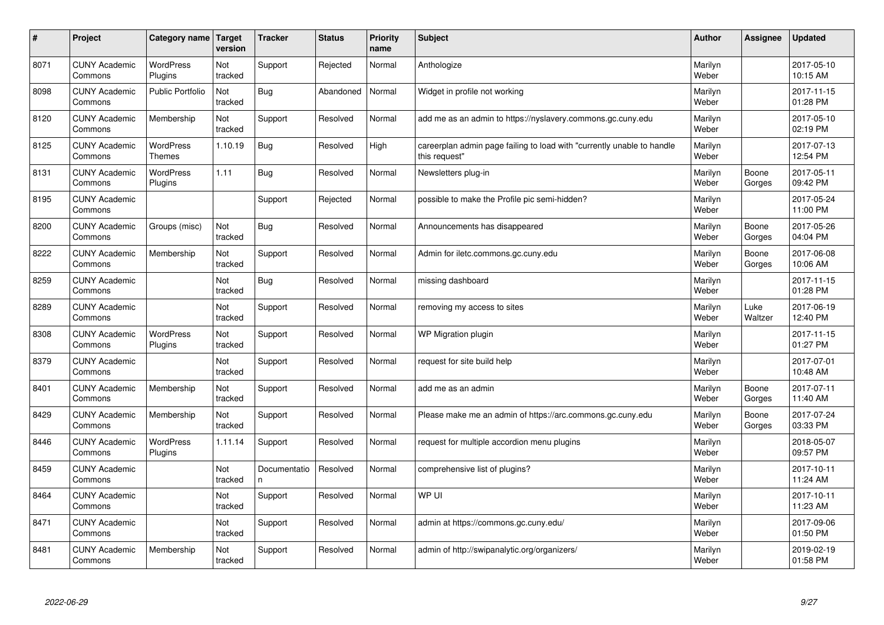| #    | Project                         | Category name                     | Target<br>version | <b>Tracker</b>     | <b>Status</b> | <b>Priority</b><br>name | <b>Subject</b>                                                                          | <b>Author</b>    | Assignee        | <b>Updated</b>         |
|------|---------------------------------|-----------------------------------|-------------------|--------------------|---------------|-------------------------|-----------------------------------------------------------------------------------------|------------------|-----------------|------------------------|
| 8071 | <b>CUNY Academic</b><br>Commons | <b>WordPress</b><br>Plugins       | Not<br>tracked    | Support            | Rejected      | Normal                  | Anthologize                                                                             | Marilyn<br>Weber |                 | 2017-05-10<br>10:15 AM |
| 8098 | <b>CUNY Academic</b><br>Commons | Public Portfolio                  | Not<br>tracked    | Bug                | Abandoned     | Normal                  | Widget in profile not working                                                           | Marilyn<br>Weber |                 | 2017-11-15<br>01:28 PM |
| 8120 | <b>CUNY Academic</b><br>Commons | Membership                        | Not<br>tracked    | Support            | Resolved      | Normal                  | add me as an admin to https://nyslavery.commons.gc.cuny.edu                             | Marilyn<br>Weber |                 | 2017-05-10<br>02:19 PM |
| 8125 | <b>CUNY Academic</b><br>Commons | <b>WordPress</b><br><b>Themes</b> | 1.10.19           | Bug                | Resolved      | High                    | careerplan admin page failing to load with "currently unable to handle<br>this request" | Marilyn<br>Weber |                 | 2017-07-13<br>12:54 PM |
| 8131 | <b>CUNY Academic</b><br>Commons | <b>WordPress</b><br>Plugins       | 1.11              | Bug                | Resolved      | Normal                  | Newsletters plug-in                                                                     | Marilyn<br>Weber | Boone<br>Gorges | 2017-05-11<br>09:42 PM |
| 8195 | <b>CUNY Academic</b><br>Commons |                                   |                   | Support            | Rejected      | Normal                  | possible to make the Profile pic semi-hidden?                                           | Marilyn<br>Weber |                 | 2017-05-24<br>11:00 PM |
| 8200 | <b>CUNY Academic</b><br>Commons | Groups (misc)                     | Not<br>tracked    | Bug                | Resolved      | Normal                  | Announcements has disappeared                                                           | Marilyn<br>Weber | Boone<br>Gorges | 2017-05-26<br>04:04 PM |
| 8222 | <b>CUNY Academic</b><br>Commons | Membership                        | Not<br>tracked    | Support            | Resolved      | Normal                  | Admin for iletc.commons.gc.cuny.edu                                                     | Marilyn<br>Weber | Boone<br>Gorges | 2017-06-08<br>10:06 AM |
| 8259 | <b>CUNY Academic</b><br>Commons |                                   | Not<br>tracked    | Bug                | Resolved      | Normal                  | missing dashboard                                                                       | Marilyn<br>Weber |                 | 2017-11-15<br>01:28 PM |
| 8289 | <b>CUNY Academic</b><br>Commons |                                   | Not<br>tracked    | Support            | Resolved      | Normal                  | removing my access to sites                                                             | Marilyn<br>Weber | Luke<br>Waltzer | 2017-06-19<br>12:40 PM |
| 8308 | <b>CUNY Academic</b><br>Commons | <b>WordPress</b><br>Plugins       | Not<br>tracked    | Support            | Resolved      | Normal                  | WP Migration plugin                                                                     | Marilyn<br>Weber |                 | 2017-11-15<br>01:27 PM |
| 8379 | <b>CUNY Academic</b><br>Commons |                                   | Not<br>tracked    | Support            | Resolved      | Normal                  | request for site build help                                                             | Marilyn<br>Weber |                 | 2017-07-01<br>10:48 AM |
| 8401 | <b>CUNY Academic</b><br>Commons | Membership                        | Not<br>tracked    | Support            | Resolved      | Normal                  | add me as an admin                                                                      | Marilyn<br>Weber | Boone<br>Gorges | 2017-07-11<br>11:40 AM |
| 8429 | <b>CUNY Academic</b><br>Commons | Membership                        | Not<br>tracked    | Support            | Resolved      | Normal                  | Please make me an admin of https://arc.commons.gc.cuny.edu                              | Marilyn<br>Weber | Boone<br>Gorges | 2017-07-24<br>03:33 PM |
| 8446 | <b>CUNY Academic</b><br>Commons | <b>WordPress</b><br>Plugins       | 1.11.14           | Support            | Resolved      | Normal                  | request for multiple accordion menu plugins                                             | Marilyn<br>Weber |                 | 2018-05-07<br>09:57 PM |
| 8459 | <b>CUNY Academic</b><br>Commons |                                   | Not<br>tracked    | Documentatio<br>n. | Resolved      | Normal                  | comprehensive list of plugins?                                                          | Marilyn<br>Weber |                 | 2017-10-11<br>11:24 AM |
| 8464 | <b>CUNY Academic</b><br>Commons |                                   | Not<br>tracked    | Support            | Resolved      | Normal                  | WP UI                                                                                   | Marilyn<br>Weber |                 | 2017-10-11<br>11:23 AM |
| 8471 | <b>CUNY Academic</b><br>Commons |                                   | Not<br>tracked    | Support            | Resolved      | Normal                  | admin at https://commons.gc.cuny.edu/                                                   | Marilyn<br>Weber |                 | 2017-09-06<br>01:50 PM |
| 8481 | <b>CUNY Academic</b><br>Commons | Membership                        | Not<br>tracked    | Support            | Resolved      | Normal                  | admin of http://swipanalytic.org/organizers/                                            | Marilyn<br>Weber |                 | 2019-02-19<br>01:58 PM |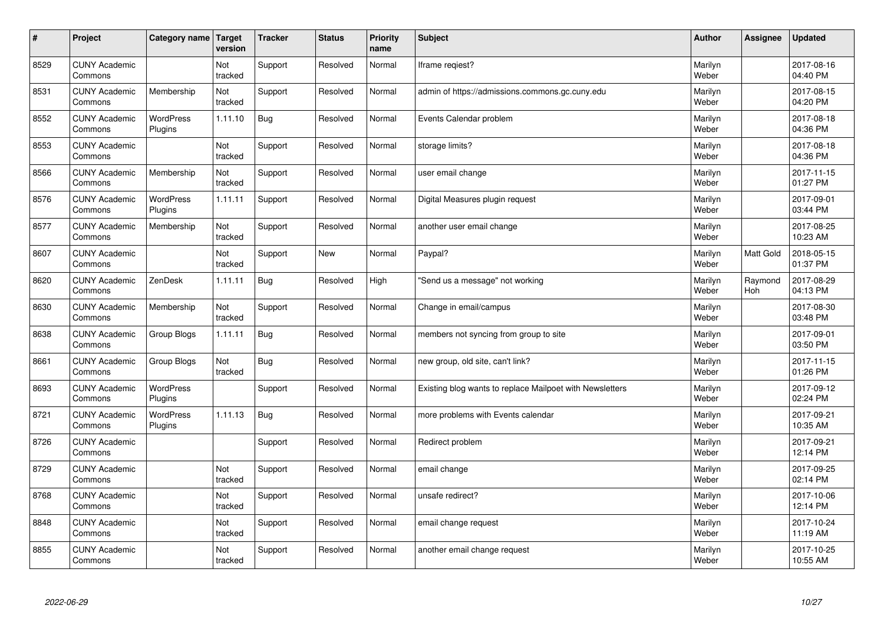| $\vert$ # | Project                         | Category name               | Target<br>version | <b>Tracker</b> | <b>Status</b> | <b>Priority</b><br>name | <b>Subject</b>                                           | <b>Author</b>    | Assignee              | <b>Updated</b>         |
|-----------|---------------------------------|-----------------------------|-------------------|----------------|---------------|-------------------------|----------------------------------------------------------|------------------|-----------------------|------------------------|
| 8529      | <b>CUNY Academic</b><br>Commons |                             | Not<br>tracked    | Support        | Resolved      | Normal                  | Iframe regiest?                                          | Marilyn<br>Weber |                       | 2017-08-16<br>04:40 PM |
| 8531      | <b>CUNY Academic</b><br>Commons | Membership                  | Not<br>tracked    | Support        | Resolved      | Normal                  | admin of https://admissions.commons.gc.cuny.edu          | Marilyn<br>Weber |                       | 2017-08-15<br>04:20 PM |
| 8552      | <b>CUNY Academic</b><br>Commons | <b>WordPress</b><br>Plugins | 1.11.10           | Bug            | Resolved      | Normal                  | Events Calendar problem                                  | Marilyn<br>Weber |                       | 2017-08-18<br>04:36 PM |
| 8553      | <b>CUNY Academic</b><br>Commons |                             | Not<br>tracked    | Support        | Resolved      | Normal                  | storage limits?                                          | Marilyn<br>Weber |                       | 2017-08-18<br>04:36 PM |
| 8566      | <b>CUNY Academic</b><br>Commons | Membership                  | Not<br>tracked    | Support        | Resolved      | Normal                  | user email change                                        | Marilyn<br>Weber |                       | 2017-11-15<br>01:27 PM |
| 8576      | <b>CUNY Academic</b><br>Commons | WordPress<br>Plugins        | 1.11.11           | Support        | Resolved      | Normal                  | Digital Measures plugin request                          | Marilyn<br>Weber |                       | 2017-09-01<br>03:44 PM |
| 8577      | <b>CUNY Academic</b><br>Commons | Membership                  | Not<br>tracked    | Support        | Resolved      | Normal                  | another user email change                                | Marilyn<br>Weber |                       | 2017-08-25<br>10:23 AM |
| 8607      | <b>CUNY Academic</b><br>Commons |                             | Not<br>tracked    | Support        | <b>New</b>    | Normal                  | Paypal?                                                  | Marilyn<br>Weber | <b>Matt Gold</b>      | 2018-05-15<br>01:37 PM |
| 8620      | <b>CUNY Academic</b><br>Commons | ZenDesk                     | 1.11.11           | Bug            | Resolved      | High                    | 'Send us a message" not working                          | Marilyn<br>Weber | Raymond<br><b>Hoh</b> | 2017-08-29<br>04:13 PM |
| 8630      | <b>CUNY Academic</b><br>Commons | Membership                  | Not<br>tracked    | Support        | Resolved      | Normal                  | Change in email/campus                                   | Marilyn<br>Weber |                       | 2017-08-30<br>03:48 PM |
| 8638      | <b>CUNY Academic</b><br>Commons | Group Blogs                 | 1.11.11           | Bug            | Resolved      | Normal                  | members not syncing from group to site                   | Marilyn<br>Weber |                       | 2017-09-01<br>03:50 PM |
| 8661      | <b>CUNY Academic</b><br>Commons | Group Blogs                 | Not<br>tracked    | Bug            | Resolved      | Normal                  | new group, old site, can't link?                         | Marilyn<br>Weber |                       | 2017-11-15<br>01:26 PM |
| 8693      | <b>CUNY Academic</b><br>Commons | WordPress<br>Plugins        |                   | Support        | Resolved      | Normal                  | Existing blog wants to replace Mailpoet with Newsletters | Marilyn<br>Weber |                       | 2017-09-12<br>02:24 PM |
| 8721      | <b>CUNY Academic</b><br>Commons | <b>WordPress</b><br>Plugins | 1.11.13           | Bug            | Resolved      | Normal                  | more problems with Events calendar                       | Marilyn<br>Weber |                       | 2017-09-21<br>10:35 AM |
| 8726      | <b>CUNY Academic</b><br>Commons |                             |                   | Support        | Resolved      | Normal                  | Redirect problem                                         | Marilyn<br>Weber |                       | 2017-09-21<br>12:14 PM |
| 8729      | <b>CUNY Academic</b><br>Commons |                             | Not<br>tracked    | Support        | Resolved      | Normal                  | email change                                             | Marilyn<br>Weber |                       | 2017-09-25<br>02:14 PM |
| 8768      | <b>CUNY Academic</b><br>Commons |                             | Not<br>tracked    | Support        | Resolved      | Normal                  | unsafe redirect?                                         | Marilyn<br>Weber |                       | 2017-10-06<br>12:14 PM |
| 8848      | <b>CUNY Academic</b><br>Commons |                             | Not<br>tracked    | Support        | Resolved      | Normal                  | email change request                                     | Marilyn<br>Weber |                       | 2017-10-24<br>11:19 AM |
| 8855      | <b>CUNY Academic</b><br>Commons |                             | Not<br>tracked    | Support        | Resolved      | Normal                  | another email change request                             | Marilyn<br>Weber |                       | 2017-10-25<br>10:55 AM |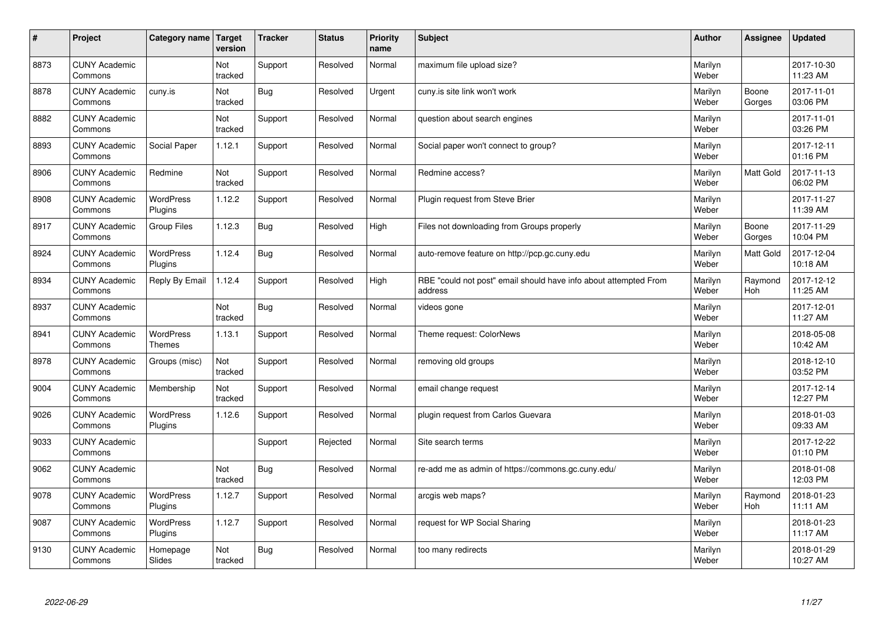| $\sharp$ | Project                         | Category name   Target             | version        | <b>Tracker</b> | <b>Status</b> | <b>Priority</b><br>name | <b>Subject</b>                                                              | <b>Author</b>    | Assignee         | <b>Updated</b>         |
|----------|---------------------------------|------------------------------------|----------------|----------------|---------------|-------------------------|-----------------------------------------------------------------------------|------------------|------------------|------------------------|
| 8873     | <b>CUNY Academic</b><br>Commons |                                    | Not<br>tracked | Support        | Resolved      | Normal                  | maximum file upload size?                                                   | Marilyn<br>Weber |                  | 2017-10-30<br>11:23 AM |
| 8878     | <b>CUNY Academic</b><br>Commons | cuny.is                            | Not<br>tracked | Bug            | Resolved      | Urgent                  | cuny.is site link won't work                                                | Marilyn<br>Weber | Boone<br>Gorges  | 2017-11-01<br>03:06 PM |
| 8882     | <b>CUNY Academic</b><br>Commons |                                    | Not<br>tracked | Support        | Resolved      | Normal                  | question about search engines                                               | Marilyn<br>Weber |                  | 2017-11-01<br>03:26 PM |
| 8893     | <b>CUNY Academic</b><br>Commons | Social Paper                       | 1.12.1         | Support        | Resolved      | Normal                  | Social paper won't connect to group?                                        | Marilyn<br>Weber |                  | 2017-12-11<br>01:16 PM |
| 8906     | <b>CUNY Academic</b><br>Commons | Redmine                            | Not<br>tracked | Support        | Resolved      | Normal                  | Redmine access?                                                             | Marilyn<br>Weber | <b>Matt Gold</b> | 2017-11-13<br>06:02 PM |
| 8908     | <b>CUNY Academic</b><br>Commons | <b>WordPress</b><br><b>Plugins</b> | 1.12.2         | Support        | Resolved      | Normal                  | Plugin request from Steve Brier                                             | Marilyn<br>Weber |                  | 2017-11-27<br>11:39 AM |
| 8917     | <b>CUNY Academic</b><br>Commons | <b>Group Files</b>                 | 1.12.3         | Bug            | Resolved      | High                    | Files not downloading from Groups properly                                  | Marilyn<br>Weber | Boone<br>Gorges  | 2017-11-29<br>10:04 PM |
| 8924     | <b>CUNY Academic</b><br>Commons | WordPress<br>Plugins               | 1.12.4         | Bug            | Resolved      | Normal                  | auto-remove feature on http://pcp.gc.cuny.edu                               | Marilyn<br>Weber | <b>Matt Gold</b> | 2017-12-04<br>10:18 AM |
| 8934     | <b>CUNY Academic</b><br>Commons | Reply By Email                     | 1.12.4         | Support        | Resolved      | High                    | RBE "could not post" email should have info about attempted From<br>address | Marilyn<br>Weber | Raymond<br>Hoh   | 2017-12-12<br>11:25 AM |
| 8937     | <b>CUNY Academic</b><br>Commons |                                    | Not<br>tracked | <b>Bug</b>     | Resolved      | Normal                  | videos gone                                                                 | Marilyn<br>Weber |                  | 2017-12-01<br>11:27 AM |
| 8941     | <b>CUNY Academic</b><br>Commons | <b>WordPress</b><br><b>Themes</b>  | 1.13.1         | Support        | Resolved      | Normal                  | Theme request: ColorNews                                                    | Marilyn<br>Weber |                  | 2018-05-08<br>10:42 AM |
| 8978     | <b>CUNY Academic</b><br>Commons | Groups (misc)                      | Not<br>tracked | Support        | Resolved      | Normal                  | removing old groups                                                         | Marilyn<br>Weber |                  | 2018-12-10<br>03:52 PM |
| 9004     | <b>CUNY Academic</b><br>Commons | Membership                         | Not<br>tracked | Support        | Resolved      | Normal                  | email change request                                                        | Marilyn<br>Weber |                  | 2017-12-14<br>12:27 PM |
| 9026     | <b>CUNY Academic</b><br>Commons | WordPress<br>Plugins               | 1.12.6         | Support        | Resolved      | Normal                  | plugin request from Carlos Guevara                                          | Marilyn<br>Weber |                  | 2018-01-03<br>09:33 AM |
| 9033     | <b>CUNY Academic</b><br>Commons |                                    |                | Support        | Rejected      | Normal                  | Site search terms                                                           | Marilyn<br>Weber |                  | 2017-12-22<br>01:10 PM |
| 9062     | <b>CUNY Academic</b><br>Commons |                                    | Not<br>tracked | Bug            | Resolved      | Normal                  | re-add me as admin of https://commons.gc.cuny.edu/                          | Marilyn<br>Weber |                  | 2018-01-08<br>12:03 PM |
| 9078     | <b>CUNY Academic</b><br>Commons | WordPress<br>Plugins               | 1.12.7         | Support        | Resolved      | Normal                  | arcgis web maps?                                                            | Marilyn<br>Weber | Raymond<br>Hoh   | 2018-01-23<br>11:11 AM |
| 9087     | <b>CUNY Academic</b><br>Commons | <b>WordPress</b><br>Plugins        | 1.12.7         | Support        | Resolved      | Normal                  | request for WP Social Sharing                                               | Marilyn<br>Weber |                  | 2018-01-23<br>11:17 AM |
| 9130     | <b>CUNY Academic</b><br>Commons | Homepage<br>Slides                 | Not<br>tracked | Bug            | Resolved      | Normal                  | too many redirects                                                          | Marilyn<br>Weber |                  | 2018-01-29<br>10:27 AM |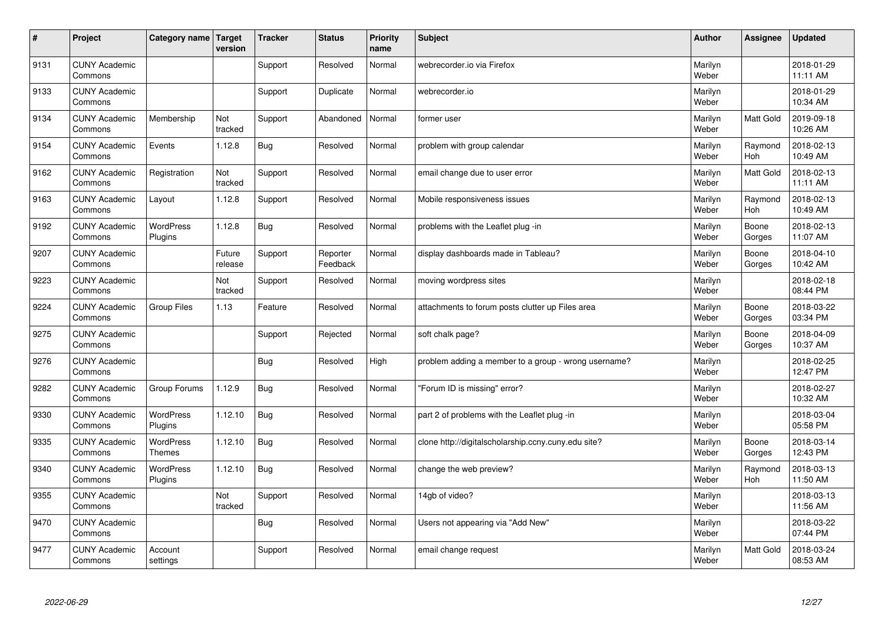| $\sharp$ | Project                         | Category name   Target      | version           | <b>Tracker</b> | <b>Status</b>        | <b>Priority</b><br>name | <b>Subject</b>                                       | <b>Author</b>    | Assignee              | <b>Updated</b>         |
|----------|---------------------------------|-----------------------------|-------------------|----------------|----------------------|-------------------------|------------------------------------------------------|------------------|-----------------------|------------------------|
| 9131     | <b>CUNY Academic</b><br>Commons |                             |                   | Support        | Resolved             | Normal                  | webrecorder.jo via Firefox                           | Marilyn<br>Weber |                       | 2018-01-29<br>11:11 AM |
| 9133     | <b>CUNY Academic</b><br>Commons |                             |                   | Support        | Duplicate            | Normal                  | webrecorder.io                                       | Marilyn<br>Weber |                       | 2018-01-29<br>10:34 AM |
| 9134     | <b>CUNY Academic</b><br>Commons | Membership                  | Not<br>tracked    | Support        | Abandoned            | Normal                  | former user                                          | Marilyn<br>Weber | Matt Gold             | 2019-09-18<br>10:26 AM |
| 9154     | <b>CUNY Academic</b><br>Commons | Events                      | 1.12.8            | Bug            | Resolved             | Normal                  | problem with group calendar                          | Marilyn<br>Weber | Raymond<br>Hoh        | 2018-02-13<br>10:49 AM |
| 9162     | <b>CUNY Academic</b><br>Commons | Registration                | Not<br>tracked    | Support        | Resolved             | Normal                  | email change due to user error                       | Marilyn<br>Weber | <b>Matt Gold</b>      | 2018-02-13<br>11:11 AM |
| 9163     | <b>CUNY Academic</b><br>Commons | Layout                      | 1.12.8            | Support        | Resolved             | Normal                  | Mobile responsiveness issues                         | Marilyn<br>Weber | Raymond<br>Hoh        | 2018-02-13<br>10:49 AM |
| 9192     | <b>CUNY Academic</b><br>Commons | <b>WordPress</b><br>Plugins | 1.12.8            | Bug            | Resolved             | Normal                  | problems with the Leaflet plug -in                   | Marilyn<br>Weber | Boone<br>Gorges       | 2018-02-13<br>11:07 AM |
| 9207     | <b>CUNY Academic</b><br>Commons |                             | Future<br>release | Support        | Reporter<br>Feedback | Normal                  | display dashboards made in Tableau?                  | Marilyn<br>Weber | Boone<br>Gorges       | 2018-04-10<br>10:42 AM |
| 9223     | <b>CUNY Academic</b><br>Commons |                             | Not<br>tracked    | Support        | Resolved             | Normal                  | moving wordpress sites                               | Marilyn<br>Weber |                       | 2018-02-18<br>08:44 PM |
| 9224     | <b>CUNY Academic</b><br>Commons | <b>Group Files</b>          | 1.13              | Feature        | Resolved             | Normal                  | attachments to forum posts clutter up Files area     | Marilyn<br>Weber | Boone<br>Gorges       | 2018-03-22<br>03:34 PM |
| 9275     | <b>CUNY Academic</b><br>Commons |                             |                   | Support        | Rejected             | Normal                  | soft chalk page?                                     | Marilyn<br>Weber | Boone<br>Gorges       | 2018-04-09<br>10:37 AM |
| 9276     | <b>CUNY Academic</b><br>Commons |                             |                   | Bug            | Resolved             | High                    | problem adding a member to a group - wrong username? | Marilyn<br>Weber |                       | 2018-02-25<br>12:47 PM |
| 9282     | <b>CUNY Academic</b><br>Commons | Group Forums                | 1.12.9            | Bug            | Resolved             | Normal                  | 'Forum ID is missing" error?                         | Marilyn<br>Weber |                       | 2018-02-27<br>10:32 AM |
| 9330     | <b>CUNY Academic</b><br>Commons | WordPress<br>Plugins        | 1.12.10           | Bug            | Resolved             | Normal                  | part 2 of problems with the Leaflet plug -in         | Marilyn<br>Weber |                       | 2018-03-04<br>05:58 PM |
| 9335     | <b>CUNY Academic</b><br>Commons | WordPress<br><b>Themes</b>  | 1.12.10           | <b>Bug</b>     | Resolved             | Normal                  | clone http://digitalscholarship.ccny.cuny.edu site?  | Marilyn<br>Weber | Boone<br>Gorges       | 2018-03-14<br>12:43 PM |
| 9340     | <b>CUNY Academic</b><br>Commons | <b>WordPress</b><br>Plugins | 1.12.10           | Bug            | Resolved             | Normal                  | change the web preview?                              | Marilyn<br>Weber | Raymond<br><b>Hoh</b> | 2018-03-13<br>11:50 AM |
| 9355     | <b>CUNY Academic</b><br>Commons |                             | Not<br>tracked    | Support        | Resolved             | Normal                  | 14gb of video?                                       | Marilyn<br>Weber |                       | 2018-03-13<br>11:56 AM |
| 9470     | <b>CUNY Academic</b><br>Commons |                             |                   | <b>Bug</b>     | Resolved             | Normal                  | Users not appearing via "Add New"                    | Marilyn<br>Weber |                       | 2018-03-22<br>07:44 PM |
| 9477     | <b>CUNY Academic</b><br>Commons | Account<br>settings         |                   | Support        | Resolved             | Normal                  | email change request                                 | Marilyn<br>Weber | <b>Matt Gold</b>      | 2018-03-24<br>08:53 AM |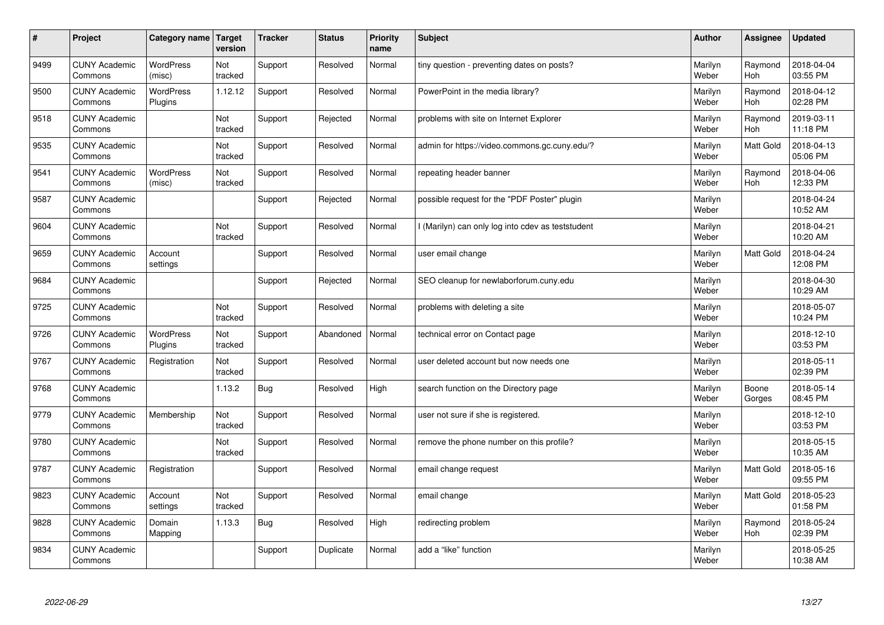| #    | Project                         | Category name   Target      | version        | <b>Tracker</b> | <b>Status</b> | <b>Priority</b><br>name | <b>Subject</b>                                    | <b>Author</b>    | <b>Assignee</b>       | <b>Updated</b>         |
|------|---------------------------------|-----------------------------|----------------|----------------|---------------|-------------------------|---------------------------------------------------|------------------|-----------------------|------------------------|
| 9499 | <b>CUNY Academic</b><br>Commons | <b>WordPress</b><br>(misc)  | Not<br>tracked | Support        | Resolved      | Normal                  | tiny question - preventing dates on posts?        | Marilyn<br>Weber | Raymond<br><b>Hoh</b> | 2018-04-04<br>03:55 PM |
| 9500 | <b>CUNY Academic</b><br>Commons | <b>WordPress</b><br>Plugins | 1.12.12        | Support        | Resolved      | Normal                  | PowerPoint in the media library?                  | Marilyn<br>Weber | Raymond<br>Hoh        | 2018-04-12<br>02:28 PM |
| 9518 | <b>CUNY Academic</b><br>Commons |                             | Not<br>tracked | Support        | Rejected      | Normal                  | problems with site on Internet Explorer           | Marilyn<br>Weber | Raymond<br><b>Hoh</b> | 2019-03-11<br>11:18 PM |
| 9535 | <b>CUNY Academic</b><br>Commons |                             | Not<br>tracked | Support        | Resolved      | Normal                  | admin for https://video.commons.gc.cuny.edu/?     | Marilyn<br>Weber | Matt Gold             | 2018-04-13<br>05:06 PM |
| 9541 | <b>CUNY Academic</b><br>Commons | <b>WordPress</b><br>(misc)  | Not<br>tracked | Support        | Resolved      | Normal                  | repeating header banner                           | Marilyn<br>Weber | Raymond<br><b>Hoh</b> | 2018-04-06<br>12:33 PM |
| 9587 | <b>CUNY Academic</b><br>Commons |                             |                | Support        | Rejected      | Normal                  | possible request for the "PDF Poster" plugin      | Marilyn<br>Weber |                       | 2018-04-24<br>10:52 AM |
| 9604 | <b>CUNY Academic</b><br>Commons |                             | Not<br>tracked | Support        | Resolved      | Normal                  | I (Marilyn) can only log into cdev as teststudent | Marilyn<br>Weber |                       | 2018-04-21<br>10:20 AM |
| 9659 | <b>CUNY Academic</b><br>Commons | Account<br>settings         |                | Support        | Resolved      | Normal                  | user email change                                 | Marilyn<br>Weber | Matt Gold             | 2018-04-24<br>12:08 PM |
| 9684 | <b>CUNY Academic</b><br>Commons |                             |                | Support        | Rejected      | Normal                  | SEO cleanup for newlaborforum.cuny.edu            | Marilyn<br>Weber |                       | 2018-04-30<br>10:29 AM |
| 9725 | <b>CUNY Academic</b><br>Commons |                             | Not<br>tracked | Support        | Resolved      | Normal                  | problems with deleting a site                     | Marilyn<br>Weber |                       | 2018-05-07<br>10:24 PM |
| 9726 | <b>CUNY Academic</b><br>Commons | <b>WordPress</b><br>Plugins | Not<br>tracked | Support        | Abandoned     | Normal                  | technical error on Contact page                   | Marilyn<br>Weber |                       | 2018-12-10<br>03:53 PM |
| 9767 | <b>CUNY Academic</b><br>Commons | Registration                | Not<br>tracked | Support        | Resolved      | Normal                  | user deleted account but now needs one            | Marilyn<br>Weber |                       | 2018-05-11<br>02:39 PM |
| 9768 | <b>CUNY Academic</b><br>Commons |                             | 1.13.2         | Bug            | Resolved      | High                    | search function on the Directory page             | Marilyn<br>Weber | Boone<br>Gorges       | 2018-05-14<br>08:45 PM |
| 9779 | <b>CUNY Academic</b><br>Commons | Membership                  | Not<br>tracked | Support        | Resolved      | Normal                  | user not sure if she is registered.               | Marilyn<br>Weber |                       | 2018-12-10<br>03:53 PM |
| 9780 | <b>CUNY Academic</b><br>Commons |                             | Not<br>tracked | Support        | Resolved      | Normal                  | remove the phone number on this profile?          | Marilyn<br>Weber |                       | 2018-05-15<br>10:35 AM |
| 9787 | <b>CUNY Academic</b><br>Commons | Registration                |                | Support        | Resolved      | Normal                  | email change request                              | Marilyn<br>Weber | Matt Gold             | 2018-05-16<br>09:55 PM |
| 9823 | <b>CUNY Academic</b><br>Commons | Account<br>settings         | Not<br>tracked | Support        | Resolved      | Normal                  | email change                                      | Marilyn<br>Weber | Matt Gold             | 2018-05-23<br>01:58 PM |
| 9828 | <b>CUNY Academic</b><br>Commons | Domain<br>Mapping           | 1.13.3         | Bug            | Resolved      | High                    | redirecting problem                               | Marilyn<br>Weber | Raymond<br><b>Hoh</b> | 2018-05-24<br>02:39 PM |
| 9834 | <b>CUNY Academic</b><br>Commons |                             |                | Support        | Duplicate     | Normal                  | add a "like" function                             | Marilyn<br>Weber |                       | 2018-05-25<br>10:38 AM |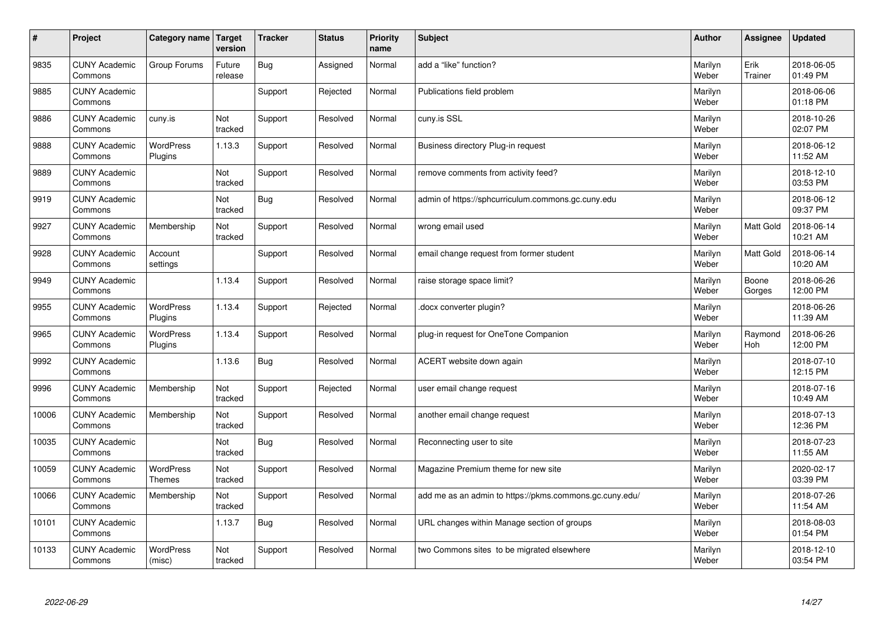| $\vert$ # | Project                         | Category name               | Target<br>version | <b>Tracker</b> | <b>Status</b> | <b>Priority</b><br>name | <b>Subject</b>                                          | <b>Author</b>    | Assignee         | <b>Updated</b>         |
|-----------|---------------------------------|-----------------------------|-------------------|----------------|---------------|-------------------------|---------------------------------------------------------|------------------|------------------|------------------------|
| 9835      | <b>CUNY Academic</b><br>Commons | Group Forums                | Future<br>release | Bug            | Assigned      | Normal                  | add a "like" function?                                  | Marilyn<br>Weber | Erik<br>Trainer  | 2018-06-05<br>01:49 PM |
| 9885      | <b>CUNY Academic</b><br>Commons |                             |                   | Support        | Rejected      | Normal                  | Publications field problem                              | Marilyn<br>Weber |                  | 2018-06-06<br>01:18 PM |
| 9886      | <b>CUNY Academic</b><br>Commons | cuny.is                     | Not<br>tracked    | Support        | Resolved      | Normal                  | cuny.is SSL                                             | Marilyn<br>Weber |                  | 2018-10-26<br>02:07 PM |
| 9888      | <b>CUNY Academic</b><br>Commons | <b>WordPress</b><br>Plugins | 1.13.3            | Support        | Resolved      | Normal                  | Business directory Plug-in request                      | Marilyn<br>Weber |                  | 2018-06-12<br>11:52 AM |
| 9889      | <b>CUNY Academic</b><br>Commons |                             | Not<br>tracked    | Support        | Resolved      | Normal                  | remove comments from activity feed?                     | Marilyn<br>Weber |                  | 2018-12-10<br>03:53 PM |
| 9919      | <b>CUNY Academic</b><br>Commons |                             | Not<br>tracked    | <b>Bug</b>     | Resolved      | Normal                  | admin of https://sphcurriculum.commons.gc.cuny.edu      | Marilyn<br>Weber |                  | 2018-06-12<br>09:37 PM |
| 9927      | <b>CUNY Academic</b><br>Commons | Membership                  | Not<br>tracked    | Support        | Resolved      | Normal                  | wrong email used                                        | Marilyn<br>Weber | <b>Matt Gold</b> | 2018-06-14<br>10:21 AM |
| 9928      | <b>CUNY Academic</b><br>Commons | Account<br>settings         |                   | Support        | Resolved      | Normal                  | email change request from former student                | Marilyn<br>Weber | Matt Gold        | 2018-06-14<br>10:20 AM |
| 9949      | <b>CUNY Academic</b><br>Commons |                             | 1.13.4            | Support        | Resolved      | Normal                  | raise storage space limit?                              | Marilyn<br>Weber | Boone<br>Gorges  | 2018-06-26<br>12:00 PM |
| 9955      | <b>CUNY Academic</b><br>Commons | WordPress<br>Plugins        | 1.13.4            | Support        | Rejected      | Normal                  | docx converter plugin?                                  | Marilyn<br>Weber |                  | 2018-06-26<br>11:39 AM |
| 9965      | <b>CUNY Academic</b><br>Commons | WordPress<br>Plugins        | 1.13.4            | Support        | Resolved      | Normal                  | plug-in request for OneTone Companion                   | Marilyn<br>Weber | Raymond<br>Hoh   | 2018-06-26<br>12:00 PM |
| 9992      | <b>CUNY Academic</b><br>Commons |                             | 1.13.6            | <b>Bug</b>     | Resolved      | Normal                  | ACERT website down again                                | Marilyn<br>Weber |                  | 2018-07-10<br>12:15 PM |
| 9996      | <b>CUNY Academic</b><br>Commons | Membership                  | Not<br>tracked    | Support        | Rejected      | Normal                  | user email change request                               | Marilyn<br>Weber |                  | 2018-07-16<br>10:49 AM |
| 10006     | <b>CUNY Academic</b><br>Commons | Membership                  | Not<br>tracked    | Support        | Resolved      | Normal                  | another email change request                            | Marilyn<br>Weber |                  | 2018-07-13<br>12:36 PM |
| 10035     | <b>CUNY Academic</b><br>Commons |                             | Not<br>tracked    | <b>Bug</b>     | Resolved      | Normal                  | Reconnecting user to site                               | Marilyn<br>Weber |                  | 2018-07-23<br>11:55 AM |
| 10059     | <b>CUNY Academic</b><br>Commons | WordPress<br><b>Themes</b>  | Not<br>tracked    | Support        | Resolved      | Normal                  | Magazine Premium theme for new site                     | Marilyn<br>Weber |                  | 2020-02-17<br>03:39 PM |
| 10066     | <b>CUNY Academic</b><br>Commons | Membership                  | Not<br>tracked    | Support        | Resolved      | Normal                  | add me as an admin to https://pkms.commons.gc.cuny.edu/ | Marilyn<br>Weber |                  | 2018-07-26<br>11:54 AM |
| 10101     | <b>CUNY Academic</b><br>Commons |                             | 1.13.7            | <b>Bug</b>     | Resolved      | Normal                  | URL changes within Manage section of groups             | Marilyn<br>Weber |                  | 2018-08-03<br>01:54 PM |
| 10133     | <b>CUNY Academic</b><br>Commons | <b>WordPress</b><br>(misc)  | Not<br>tracked    | Support        | Resolved      | Normal                  | two Commons sites to be migrated elsewhere              | Marilyn<br>Weber |                  | 2018-12-10<br>03:54 PM |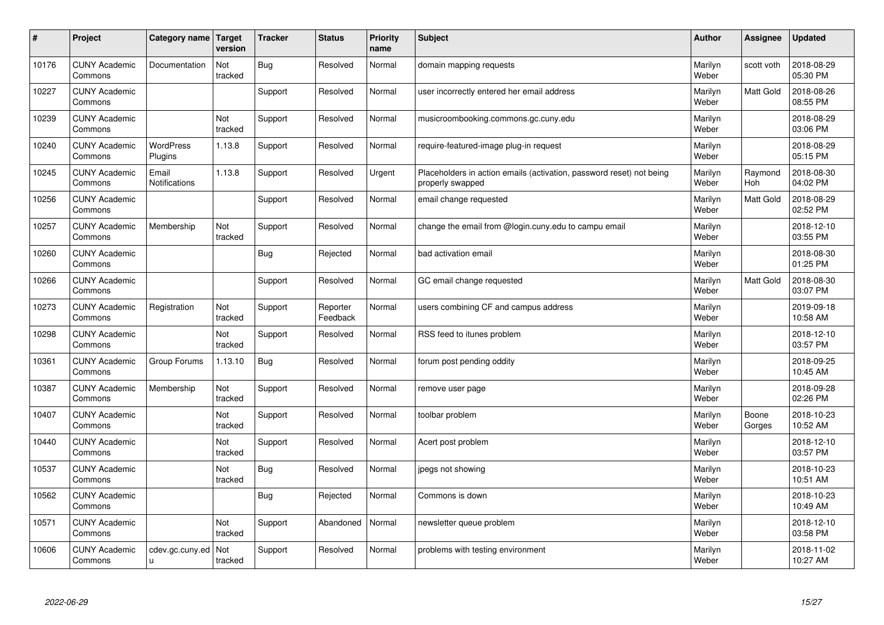| #     | Project                         | Category name               | Target<br>version | <b>Tracker</b> | <b>Status</b>        | <b>Priority</b><br>name | <b>Subject</b>                                                                           | <b>Author</b>    | Assignee        | <b>Updated</b>         |
|-------|---------------------------------|-----------------------------|-------------------|----------------|----------------------|-------------------------|------------------------------------------------------------------------------------------|------------------|-----------------|------------------------|
| 10176 | <b>CUNY Academic</b><br>Commons | Documentation               | Not<br>tracked    | <b>Bug</b>     | Resolved             | Normal                  | domain mapping requests                                                                  | Marilyn<br>Weber | scott voth      | 2018-08-29<br>05:30 PM |
| 10227 | <b>CUNY Academic</b><br>Commons |                             |                   | Support        | Resolved             | Normal                  | user incorrectly entered her email address                                               | Marilyn<br>Weber | Matt Gold       | 2018-08-26<br>08:55 PM |
| 10239 | <b>CUNY Academic</b><br>Commons |                             | Not<br>tracked    | Support        | Resolved             | Normal                  | musicroombooking.commons.gc.cuny.edu                                                     | Marilyn<br>Weber |                 | 2018-08-29<br>03:06 PM |
| 10240 | <b>CUNY Academic</b><br>Commons | <b>WordPress</b><br>Plugins | 1.13.8            | Support        | Resolved             | Normal                  | require-featured-image plug-in request                                                   | Marilyn<br>Weber |                 | 2018-08-29<br>05:15 PM |
| 10245 | <b>CUNY Academic</b><br>Commons | Email<br>Notifications      | 1.13.8            | Support        | Resolved             | Urgent                  | Placeholders in action emails (activation, password reset) not being<br>properly swapped | Marilyn<br>Weber | Raymond<br>Hoh  | 2018-08-30<br>04:02 PM |
| 10256 | <b>CUNY Academic</b><br>Commons |                             |                   | Support        | Resolved             | Normal                  | email change requested                                                                   | Marilyn<br>Weber | Matt Gold       | 2018-08-29<br>02:52 PM |
| 10257 | <b>CUNY Academic</b><br>Commons | Membership                  | Not<br>tracked    | Support        | Resolved             | Normal                  | change the email from @login.cuny.edu to campu email                                     | Marilyn<br>Weber |                 | 2018-12-10<br>03:55 PM |
| 10260 | <b>CUNY Academic</b><br>Commons |                             |                   | Bug            | Rejected             | Normal                  | bad activation email                                                                     | Marilyn<br>Weber |                 | 2018-08-30<br>01:25 PM |
| 10266 | <b>CUNY Academic</b><br>Commons |                             |                   | Support        | Resolved             | Normal                  | GC email change requested                                                                | Marilyn<br>Weber | Matt Gold       | 2018-08-30<br>03:07 PM |
| 10273 | <b>CUNY Academic</b><br>Commons | Registration                | Not<br>tracked    | Support        | Reporter<br>Feedback | Normal                  | users combining CF and campus address                                                    | Marilyn<br>Weber |                 | 2019-09-18<br>10:58 AM |
| 10298 | <b>CUNY Academic</b><br>Commons |                             | Not<br>tracked    | Support        | Resolved             | Normal                  | RSS feed to itunes problem                                                               | Marilyn<br>Weber |                 | 2018-12-10<br>03:57 PM |
| 10361 | <b>CUNY Academic</b><br>Commons | Group Forums                | 1.13.10           | <b>Bug</b>     | Resolved             | Normal                  | forum post pending oddity                                                                | Marilyn<br>Weber |                 | 2018-09-25<br>10:45 AM |
| 10387 | <b>CUNY Academic</b><br>Commons | Membership                  | Not<br>tracked    | Support        | Resolved             | Normal                  | remove user page                                                                         | Marilyn<br>Weber |                 | 2018-09-28<br>02:26 PM |
| 10407 | <b>CUNY Academic</b><br>Commons |                             | Not<br>tracked    | Support        | Resolved             | Normal                  | toolbar problem                                                                          | Marilyn<br>Weber | Boone<br>Gorges | 2018-10-23<br>10:52 AM |
| 10440 | <b>CUNY Academic</b><br>Commons |                             | Not<br>tracked    | Support        | Resolved             | Normal                  | Acert post problem                                                                       | Marilyn<br>Weber |                 | 2018-12-10<br>03:57 PM |
| 10537 | <b>CUNY Academic</b><br>Commons |                             | Not<br>tracked    | <b>Bug</b>     | Resolved             | Normal                  | jpegs not showing                                                                        | Marilyn<br>Weber |                 | 2018-10-23<br>10:51 AM |
| 10562 | <b>CUNY Academic</b><br>Commons |                             |                   | Bug            | Rejected             | Normal                  | Commons is down                                                                          | Marilyn<br>Weber |                 | 2018-10-23<br>10:49 AM |
| 10571 | <b>CUNY Academic</b><br>Commons |                             | Not<br>tracked    | Support        | Abandoned            | Normal                  | newsletter queue problem                                                                 | Marilyn<br>Weber |                 | 2018-12-10<br>03:58 PM |
| 10606 | <b>CUNY Academic</b><br>Commons | cdev.gc.cuny.ed<br>u.       | Not<br>tracked    | Support        | Resolved             | Normal                  | problems with testing environment                                                        | Marilyn<br>Weber |                 | 2018-11-02<br>10:27 AM |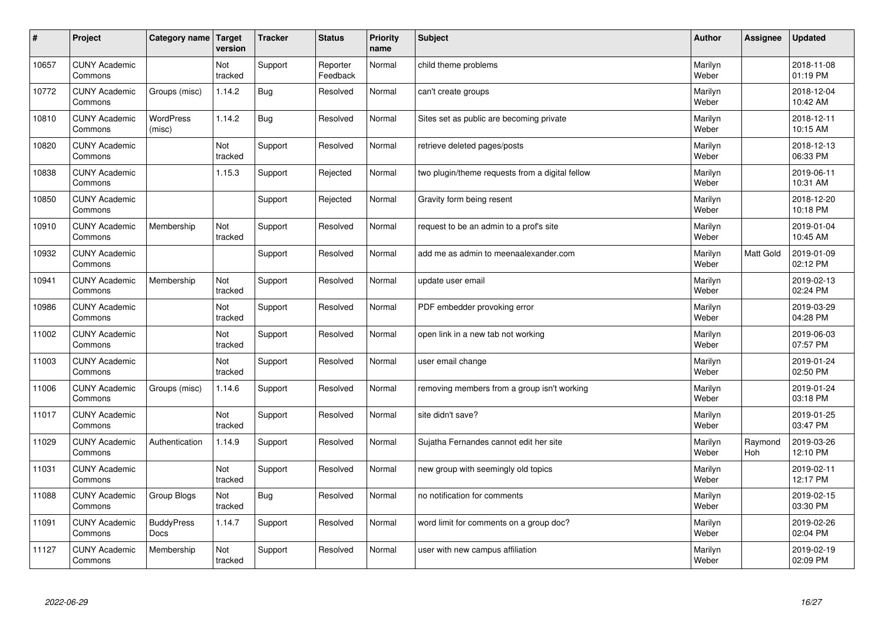| $\sharp$ | Project                         | Category name   Target     | version        | <b>Tracker</b> | <b>Status</b>        | <b>Priority</b><br>name | <b>Subject</b>                                  | <b>Author</b>    | Assignee              | <b>Updated</b>         |
|----------|---------------------------------|----------------------------|----------------|----------------|----------------------|-------------------------|-------------------------------------------------|------------------|-----------------------|------------------------|
| 10657    | <b>CUNY Academic</b><br>Commons |                            | Not<br>tracked | Support        | Reporter<br>Feedback | Normal                  | child theme problems                            | Marilyn<br>Weber |                       | 2018-11-08<br>01:19 PM |
| 10772    | <b>CUNY Academic</b><br>Commons | Groups (misc)              | 1.14.2         | Bug            | Resolved             | Normal                  | can't create groups                             | Marilyn<br>Weber |                       | 2018-12-04<br>10:42 AM |
| 10810    | <b>CUNY Academic</b><br>Commons | <b>WordPress</b><br>(misc) | 1.14.2         | <b>Bug</b>     | Resolved             | Normal                  | Sites set as public are becoming private        | Marilyn<br>Weber |                       | 2018-12-11<br>10:15 AM |
| 10820    | <b>CUNY Academic</b><br>Commons |                            | Not<br>tracked | Support        | Resolved             | Normal                  | retrieve deleted pages/posts                    | Marilyn<br>Weber |                       | 2018-12-13<br>06:33 PM |
| 10838    | <b>CUNY Academic</b><br>Commons |                            | 1.15.3         | Support        | Rejected             | Normal                  | two plugin/theme requests from a digital fellow | Marilyn<br>Weber |                       | 2019-06-11<br>10:31 AM |
| 10850    | <b>CUNY Academic</b><br>Commons |                            |                | Support        | Rejected             | Normal                  | Gravity form being resent                       | Marilyn<br>Weber |                       | 2018-12-20<br>10:18 PM |
| 10910    | <b>CUNY Academic</b><br>Commons | Membership                 | Not<br>tracked | Support        | Resolved             | Normal                  | request to be an admin to a prof's site         | Marilyn<br>Weber |                       | 2019-01-04<br>10:45 AM |
| 10932    | <b>CUNY Academic</b><br>Commons |                            |                | Support        | Resolved             | Normal                  | add me as admin to meenaalexander.com           | Marilyn<br>Weber | Matt Gold             | 2019-01-09<br>02:12 PM |
| 10941    | <b>CUNY Academic</b><br>Commons | Membership                 | Not<br>tracked | Support        | Resolved             | Normal                  | update user email                               | Marilyn<br>Weber |                       | 2019-02-13<br>02:24 PM |
| 10986    | <b>CUNY Academic</b><br>Commons |                            | Not<br>tracked | Support        | Resolved             | Normal                  | PDF embedder provoking error                    | Marilyn<br>Weber |                       | 2019-03-29<br>04:28 PM |
| 11002    | <b>CUNY Academic</b><br>Commons |                            | Not<br>tracked | Support        | Resolved             | Normal                  | open link in a new tab not working              | Marilyn<br>Weber |                       | 2019-06-03<br>07:57 PM |
| 11003    | <b>CUNY Academic</b><br>Commons |                            | Not<br>tracked | Support        | Resolved             | Normal                  | user email change                               | Marilyn<br>Weber |                       | 2019-01-24<br>02:50 PM |
| 11006    | <b>CUNY Academic</b><br>Commons | Groups (misc)              | 1.14.6         | Support        | Resolved             | Normal                  | removing members from a group isn't working     | Marilyn<br>Weber |                       | 2019-01-24<br>03:18 PM |
| 11017    | <b>CUNY Academic</b><br>Commons |                            | Not<br>tracked | Support        | Resolved             | Normal                  | site didn't save?                               | Marilyn<br>Weber |                       | 2019-01-25<br>03:47 PM |
| 11029    | <b>CUNY Academic</b><br>Commons | Authentication             | 1.14.9         | Support        | Resolved             | Normal                  | Sujatha Fernandes cannot edit her site          | Marilyn<br>Weber | Raymond<br><b>Hoh</b> | 2019-03-26<br>12:10 PM |
| 11031    | <b>CUNY Academic</b><br>Commons |                            | Not<br>tracked | Support        | Resolved             | Normal                  | new group with seemingly old topics             | Marilyn<br>Weber |                       | 2019-02-11<br>12:17 PM |
| 11088    | <b>CUNY Academic</b><br>Commons | Group Blogs                | Not<br>tracked | Bug            | Resolved             | Normal                  | no notification for comments                    | Marilyn<br>Weber |                       | 2019-02-15<br>03:30 PM |
| 11091    | <b>CUNY Academic</b><br>Commons | <b>BuddyPress</b><br>Docs  | 1.14.7         | Support        | Resolved             | Normal                  | word limit for comments on a group doc?         | Marilyn<br>Weber |                       | 2019-02-26<br>02:04 PM |
| 11127    | <b>CUNY Academic</b><br>Commons | Membership                 | Not<br>tracked | Support        | Resolved             | Normal                  | user with new campus affiliation                | Marilyn<br>Weber |                       | 2019-02-19<br>02:09 PM |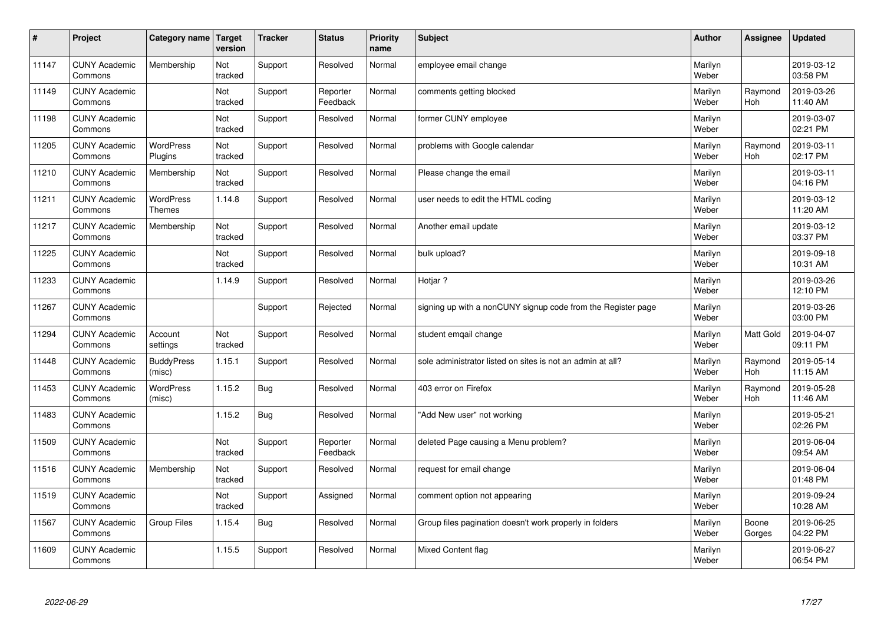| $\vert$ # | Project                         | Category name Target        | version        | <b>Tracker</b> | <b>Status</b>        | <b>Priority</b><br>name | <b>Subject</b>                                               | <b>Author</b>    | <b>Assignee</b>       | <b>Updated</b>         |
|-----------|---------------------------------|-----------------------------|----------------|----------------|----------------------|-------------------------|--------------------------------------------------------------|------------------|-----------------------|------------------------|
| 11147     | <b>CUNY Academic</b><br>Commons | Membership                  | Not<br>tracked | Support        | Resolved             | Normal                  | employee email change                                        | Marilyn<br>Weber |                       | 2019-03-12<br>03:58 PM |
| 11149     | <b>CUNY Academic</b><br>Commons |                             | Not<br>tracked | Support        | Reporter<br>Feedback | Normal                  | comments getting blocked                                     | Marilyn<br>Weber | Raymond<br>Hoh        | 2019-03-26<br>11:40 AM |
| 11198     | <b>CUNY Academic</b><br>Commons |                             | Not<br>tracked | Support        | Resolved             | Normal                  | former CUNY employee                                         | Marilyn<br>Weber |                       | 2019-03-07<br>02:21 PM |
| 11205     | <b>CUNY Academic</b><br>Commons | <b>WordPress</b><br>Plugins | Not<br>tracked | Support        | Resolved             | Normal                  | problems with Google calendar                                | Marilyn<br>Weber | Raymond<br>Hoh        | 2019-03-11<br>02:17 PM |
| 11210     | <b>CUNY Academic</b><br>Commons | Membership                  | Not<br>tracked | Support        | Resolved             | Normal                  | Please change the email                                      | Marilyn<br>Weber |                       | 2019-03-11<br>04:16 PM |
| 11211     | <b>CUNY Academic</b><br>Commons | WordPress<br><b>Themes</b>  | 1.14.8         | Support        | Resolved             | Normal                  | user needs to edit the HTML coding                           | Marilyn<br>Weber |                       | 2019-03-12<br>11:20 AM |
| 11217     | <b>CUNY Academic</b><br>Commons | Membership                  | Not<br>tracked | Support        | Resolved             | Normal                  | Another email update                                         | Marilyn<br>Weber |                       | 2019-03-12<br>03:37 PM |
| 11225     | <b>CUNY Academic</b><br>Commons |                             | Not<br>tracked | Support        | Resolved             | Normal                  | bulk upload?                                                 | Marilyn<br>Weber |                       | 2019-09-18<br>10:31 AM |
| 11233     | <b>CUNY Academic</b><br>Commons |                             | 1.14.9         | Support        | Resolved             | Normal                  | Hotiar?                                                      | Marilyn<br>Weber |                       | 2019-03-26<br>12:10 PM |
| 11267     | <b>CUNY Academic</b><br>Commons |                             |                | Support        | Rejected             | Normal                  | signing up with a nonCUNY signup code from the Register page | Marilyn<br>Weber |                       | 2019-03-26<br>03:00 PM |
| 11294     | <b>CUNY Academic</b><br>Commons | Account<br>settings         | Not<br>tracked | Support        | Resolved             | Normal                  | student emgail change                                        | Marilyn<br>Weber | Matt Gold             | 2019-04-07<br>09:11 PM |
| 11448     | <b>CUNY Academic</b><br>Commons | <b>BuddyPress</b><br>(misc) | 1.15.1         | Support        | Resolved             | Normal                  | sole administrator listed on sites is not an admin at all?   | Marilyn<br>Weber | Raymond<br><b>Hoh</b> | 2019-05-14<br>11:15 AM |
| 11453     | <b>CUNY Academic</b><br>Commons | WordPress<br>(misc)         | 1.15.2         | <b>Bug</b>     | Resolved             | Normal                  | 403 error on Firefox                                         | Marilyn<br>Weber | Raymond<br>Hoh        | 2019-05-28<br>11:46 AM |
| 11483     | <b>CUNY Academic</b><br>Commons |                             | 1.15.2         | <b>Bug</b>     | Resolved             | Normal                  | "Add New user" not working                                   | Marilyn<br>Weber |                       | 2019-05-21<br>02:26 PM |
| 11509     | <b>CUNY Academic</b><br>Commons |                             | Not<br>tracked | Support        | Reporter<br>Feedback | Normal                  | deleted Page causing a Menu problem?                         | Marilyn<br>Weber |                       | 2019-06-04<br>09:54 AM |
| 11516     | <b>CUNY Academic</b><br>Commons | Membership                  | Not<br>tracked | Support        | Resolved             | Normal                  | request for email change                                     | Marilyn<br>Weber |                       | 2019-06-04<br>01:48 PM |
| 11519     | <b>CUNY Academic</b><br>Commons |                             | Not<br>tracked | Support        | Assigned             | Normal                  | comment option not appearing                                 | Marilyn<br>Weber |                       | 2019-09-24<br>10:28 AM |
| 11567     | <b>CUNY Academic</b><br>Commons | <b>Group Files</b>          | 1.15.4         | <b>Bug</b>     | Resolved             | Normal                  | Group files pagination doesn't work properly in folders      | Marilyn<br>Weber | Boone<br>Gorges       | 2019-06-25<br>04:22 PM |
| 11609     | <b>CUNY Academic</b><br>Commons |                             | 1.15.5         | Support        | Resolved             | Normal                  | Mixed Content flag                                           | Marilyn<br>Weber |                       | 2019-06-27<br>06:54 PM |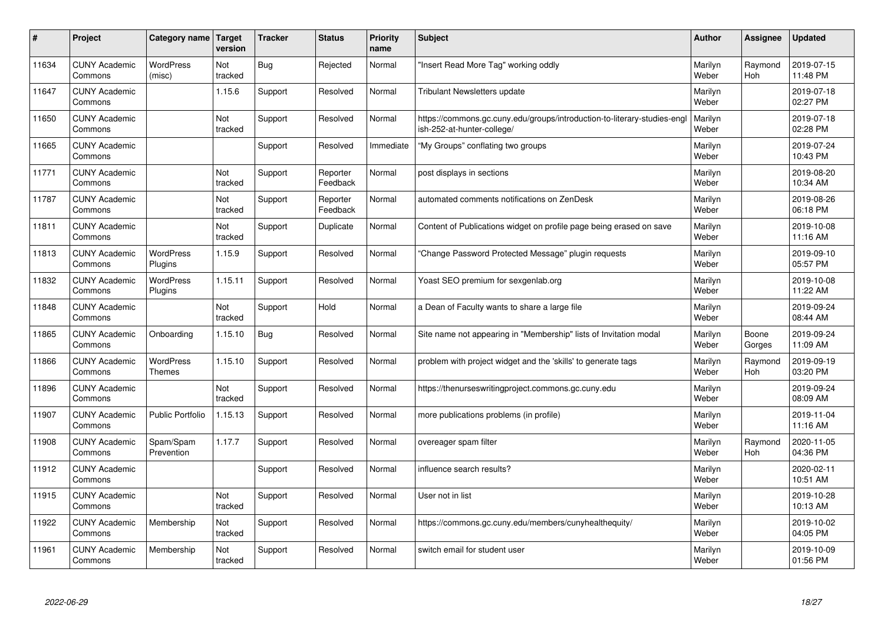| #     | Project                         | Category name               | <b>Target</b><br>version | <b>Tracker</b> | <b>Status</b>        | <b>Priority</b><br>name | <b>Subject</b>                                                                                        | <b>Author</b>    | Assignee              | <b>Updated</b>         |
|-------|---------------------------------|-----------------------------|--------------------------|----------------|----------------------|-------------------------|-------------------------------------------------------------------------------------------------------|------------------|-----------------------|------------------------|
| 11634 | <b>CUNY Academic</b><br>Commons | <b>WordPress</b><br>(misc)  | Not<br>tracked           | <b>Bug</b>     | Rejected             | Normal                  | 'Insert Read More Tag" working oddly                                                                  | Marilyn<br>Weber | Raymond<br>Hoh        | 2019-07-15<br>11:48 PM |
| 11647 | <b>CUNY Academic</b><br>Commons |                             | 1.15.6                   | Support        | Resolved             | Normal                  | <b>Tribulant Newsletters update</b>                                                                   | Marilyn<br>Weber |                       | 2019-07-18<br>02:27 PM |
| 11650 | <b>CUNY Academic</b><br>Commons |                             | Not<br>tracked           | Support        | Resolved             | Normal                  | https://commons.gc.cuny.edu/groups/introduction-to-literary-studies-eng<br>ish-252-at-hunter-college/ | Marilyn<br>Weber |                       | 2019-07-18<br>02:28 PM |
| 11665 | <b>CUNY Academic</b><br>Commons |                             |                          | Support        | Resolved             | Immediate               | 'My Groups" conflating two groups                                                                     | Marilyn<br>Weber |                       | 2019-07-24<br>10:43 PM |
| 11771 | <b>CUNY Academic</b><br>Commons |                             | Not<br>tracked           | Support        | Reporter<br>Feedback | Normal                  | post displays in sections                                                                             | Marilyn<br>Weber |                       | 2019-08-20<br>10:34 AM |
| 11787 | <b>CUNY Academic</b><br>Commons |                             | Not<br>tracked           | Support        | Reporter<br>Feedback | Normal                  | automated comments notifications on ZenDesk                                                           | Marilyn<br>Weber |                       | 2019-08-26<br>06:18 PM |
| 11811 | <b>CUNY Academic</b><br>Commons |                             | Not<br>tracked           | Support        | Duplicate            | Normal                  | Content of Publications widget on profile page being erased on save                                   | Marilyn<br>Weber |                       | 2019-10-08<br>11:16 AM |
| 11813 | <b>CUNY Academic</b><br>Commons | WordPress<br>Plugins        | 1.15.9                   | Support        | Resolved             | Normal                  | 'Change Password Protected Message" plugin requests                                                   | Marilyn<br>Weber |                       | 2019-09-10<br>05:57 PM |
| 11832 | <b>CUNY Academic</b><br>Commons | <b>WordPress</b><br>Plugins | 1.15.11                  | Support        | Resolved             | Normal                  | Yoast SEO premium for sexgenlab.org                                                                   | Marilyn<br>Weber |                       | 2019-10-08<br>11:22 AM |
| 11848 | <b>CUNY Academic</b><br>Commons |                             | Not<br>tracked           | Support        | Hold                 | Normal                  | a Dean of Faculty wants to share a large file                                                         | Marilyn<br>Weber |                       | 2019-09-24<br>08:44 AM |
| 11865 | <b>CUNY Academic</b><br>Commons | Onboarding                  | 1.15.10                  | Bug            | Resolved             | Normal                  | Site name not appearing in "Membership" lists of Invitation modal                                     | Marilyn<br>Weber | Boone<br>Gorges       | 2019-09-24<br>11:09 AM |
| 11866 | <b>CUNY Academic</b><br>Commons | WordPress<br><b>Themes</b>  | 1.15.10                  | Support        | Resolved             | Normal                  | problem with project widget and the 'skills' to generate tags                                         | Marilyn<br>Weber | Raymond<br><b>Hoh</b> | 2019-09-19<br>03:20 PM |
| 11896 | <b>CUNY Academic</b><br>Commons |                             | Not<br>tracked           | Support        | Resolved             | Normal                  | https://thenurseswritingproject.commons.gc.cuny.edu                                                   | Marilyn<br>Weber |                       | 2019-09-24<br>08:09 AM |
| 11907 | <b>CUNY Academic</b><br>Commons | Public Portfolio            | 1.15.13                  | Support        | Resolved             | Normal                  | more publications problems (in profile)                                                               | Marilyn<br>Weber |                       | 2019-11-04<br>11:16 AM |
| 11908 | <b>CUNY Academic</b><br>Commons | Spam/Spam<br>Prevention     | 1.17.7                   | Support        | Resolved             | Normal                  | overeager spam filter                                                                                 | Marilyn<br>Weber | Raymond<br>Hoh        | 2020-11-05<br>04:36 PM |
| 11912 | <b>CUNY Academic</b><br>Commons |                             |                          | Support        | Resolved             | Normal                  | influence search results?                                                                             | Marilyn<br>Weber |                       | 2020-02-11<br>10:51 AM |
| 11915 | <b>CUNY Academic</b><br>Commons |                             | Not<br>tracked           | Support        | Resolved             | Normal                  | User not in list                                                                                      | Marilyn<br>Weber |                       | 2019-10-28<br>10:13 AM |
| 11922 | <b>CUNY Academic</b><br>Commons | Membership                  | Not<br>tracked           | Support        | Resolved             | Normal                  | https://commons.gc.cuny.edu/members/cunyhealthequity/                                                 | Marilyn<br>Weber |                       | 2019-10-02<br>04:05 PM |
| 11961 | <b>CUNY Academic</b><br>Commons | Membership                  | Not<br>tracked           | Support        | Resolved             | Normal                  | switch email for student user                                                                         | Marilyn<br>Weber |                       | 2019-10-09<br>01:56 PM |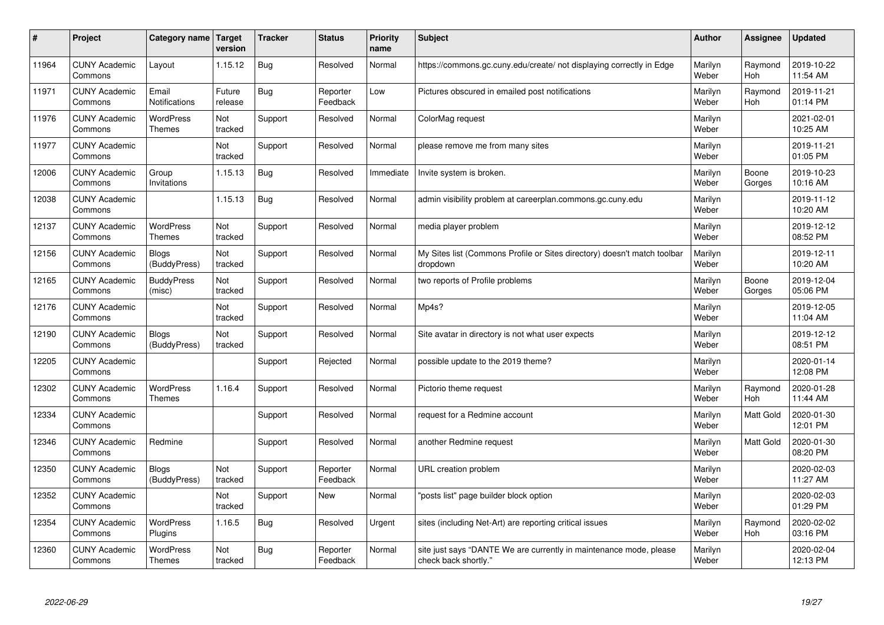| #     | Project                         | Category name   Target            | version           | <b>Tracker</b> | <b>Status</b>        | <b>Priority</b><br>name | <b>Subject</b>                                                                             | <b>Author</b>    | <b>Assignee</b> | <b>Updated</b>         |
|-------|---------------------------------|-----------------------------------|-------------------|----------------|----------------------|-------------------------|--------------------------------------------------------------------------------------------|------------------|-----------------|------------------------|
| 11964 | <b>CUNY Academic</b><br>Commons | Layout                            | 1.15.12           | <b>Bug</b>     | Resolved             | Normal                  | https://commons.gc.cuny.edu/create/ not displaying correctly in Edge                       | Marilyn<br>Weber | Raymond<br>Hoh  | 2019-10-22<br>11:54 AM |
| 11971 | <b>CUNY Academic</b><br>Commons | Email<br>Notifications            | Future<br>release | Bug            | Reporter<br>Feedback | Low                     | Pictures obscured in emailed post notifications                                            | Marilyn<br>Weber | Raymond<br>Hoh  | 2019-11-21<br>01:14 PM |
| 11976 | <b>CUNY Academic</b><br>Commons | WordPress<br><b>Themes</b>        | Not<br>tracked    | Support        | Resolved             | Normal                  | ColorMag request                                                                           | Marilyn<br>Weber |                 | 2021-02-01<br>10:25 AM |
| 11977 | <b>CUNY Academic</b><br>Commons |                                   | Not<br>tracked    | Support        | Resolved             | Normal                  | please remove me from many sites                                                           | Marilyn<br>Weber |                 | 2019-11-21<br>01:05 PM |
| 12006 | <b>CUNY Academic</b><br>Commons | Group<br>Invitations              | 1.15.13           | <b>Bug</b>     | Resolved             | Immediate               | Invite system is broken.                                                                   | Marilyn<br>Weber | Boone<br>Gorges | 2019-10-23<br>10:16 AM |
| 12038 | <b>CUNY Academic</b><br>Commons |                                   | 1.15.13           | Bug            | Resolved             | Normal                  | admin visibility problem at careerplan.commons.gc.cuny.edu                                 | Marilyn<br>Weber |                 | 2019-11-12<br>10:20 AM |
| 12137 | <b>CUNY Academic</b><br>Commons | <b>WordPress</b><br><b>Themes</b> | Not<br>tracked    | Support        | Resolved             | Normal                  | media player problem                                                                       | Marilyn<br>Weber |                 | 2019-12-12<br>08:52 PM |
| 12156 | <b>CUNY Academic</b><br>Commons | <b>Blogs</b><br>(BuddyPress)      | Not<br>tracked    | Support        | Resolved             | Normal                  | My Sites list (Commons Profile or Sites directory) doesn't match toolbar<br>dropdown       | Marilyn<br>Weber |                 | 2019-12-11<br>10:20 AM |
| 12165 | <b>CUNY Academic</b><br>Commons | <b>BuddyPress</b><br>(misc)       | Not<br>tracked    | Support        | Resolved             | Normal                  | two reports of Profile problems                                                            | Marilyn<br>Weber | Boone<br>Gorges | 2019-12-04<br>05:06 PM |
| 12176 | <b>CUNY Academic</b><br>Commons |                                   | Not<br>tracked    | Support        | Resolved             | Normal                  | Mp4s?                                                                                      | Marilyn<br>Weber |                 | 2019-12-05<br>11:04 AM |
| 12190 | <b>CUNY Academic</b><br>Commons | <b>Blogs</b><br>(BuddyPress)      | Not<br>tracked    | Support        | Resolved             | Normal                  | Site avatar in directory is not what user expects                                          | Marilyn<br>Weber |                 | 2019-12-12<br>08:51 PM |
| 12205 | <b>CUNY Academic</b><br>Commons |                                   |                   | Support        | Rejected             | Normal                  | possible update to the 2019 theme?                                                         | Marilyn<br>Weber |                 | 2020-01-14<br>12:08 PM |
| 12302 | <b>CUNY Academic</b><br>Commons | <b>WordPress</b><br>Themes        | 1.16.4            | Support        | Resolved             | Normal                  | Pictorio theme request                                                                     | Marilyn<br>Weber | Raymond<br>Hoh  | 2020-01-28<br>11:44 AM |
| 12334 | <b>CUNY Academic</b><br>Commons |                                   |                   | Support        | Resolved             | Normal                  | request for a Redmine account                                                              | Marilyn<br>Weber | Matt Gold       | 2020-01-30<br>12:01 PM |
| 12346 | <b>CUNY Academic</b><br>Commons | Redmine                           |                   | Support        | Resolved             | Normal                  | another Redmine request                                                                    | Marilyn<br>Weber | Matt Gold       | 2020-01-30<br>08:20 PM |
| 12350 | <b>CUNY Academic</b><br>Commons | <b>Blogs</b><br>(BuddyPress)      | Not<br>tracked    | Support        | Reporter<br>Feedback | Normal                  | URL creation problem                                                                       | Marilyn<br>Weber |                 | 2020-02-03<br>11:27 AM |
| 12352 | <b>CUNY Academic</b><br>Commons |                                   | Not<br>tracked    | Support        | <b>New</b>           | Normal                  | 'posts list" page builder block option                                                     | Marilyn<br>Weber |                 | 2020-02-03<br>01:29 PM |
| 12354 | <b>CUNY Academic</b><br>Commons | <b>WordPress</b><br>Plugins       | 1.16.5            | Bug            | Resolved             | Urgent                  | sites (including Net-Art) are reporting critical issues                                    | Marilyn<br>Weber | Raymond<br>Hoh  | 2020-02-02<br>03:16 PM |
| 12360 | <b>CUNY Academic</b><br>Commons | WordPress<br><b>Themes</b>        | Not<br>tracked    | <b>Bug</b>     | Reporter<br>Feedback | Normal                  | site just says "DANTE We are currently in maintenance mode, please<br>check back shortly." | Marilyn<br>Weber |                 | 2020-02-04<br>12:13 PM |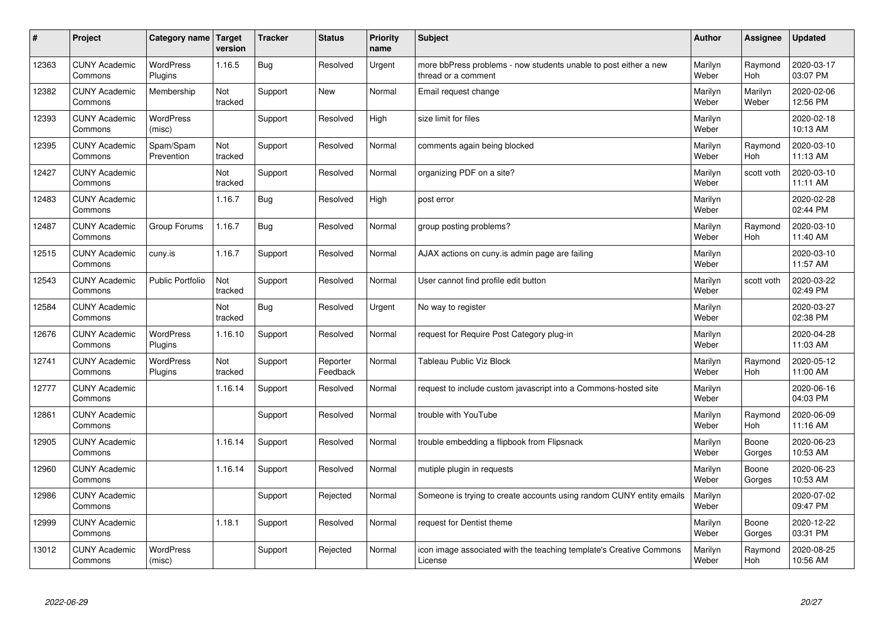| #     | Project                         | Category name   Target      | version        | <b>Tracker</b> | <b>Status</b>        | <b>Priority</b><br>name | <b>Subject</b>                                                                          | <b>Author</b>    | <b>Assignee</b>       | <b>Updated</b>         |
|-------|---------------------------------|-----------------------------|----------------|----------------|----------------------|-------------------------|-----------------------------------------------------------------------------------------|------------------|-----------------------|------------------------|
| 12363 | <b>CUNY Academic</b><br>Commons | <b>WordPress</b><br>Plugins | 1.16.5         | Bug            | Resolved             | Urgent                  | more bbPress problems - now students unable to post either a new<br>thread or a comment | Marilyn<br>Weber | Raymond<br>Hoh        | 2020-03-17<br>03:07 PM |
| 12382 | <b>CUNY Academic</b><br>Commons | Membership                  | Not<br>tracked | Support        | <b>New</b>           | Normal                  | Email request change                                                                    | Marilyn<br>Weber | Marilyn<br>Weber      | 2020-02-06<br>12:56 PM |
| 12393 | <b>CUNY Academic</b><br>Commons | WordPress<br>(misc)         |                | Support        | Resolved             | High                    | size limit for files                                                                    | Marilyn<br>Weber |                       | 2020-02-18<br>10:13 AM |
| 12395 | <b>CUNY Academic</b><br>Commons | Spam/Spam<br>Prevention     | Not<br>tracked | Support        | Resolved             | Normal                  | comments again being blocked                                                            | Marilyn<br>Weber | Raymond<br>Hoh        | 2020-03-10<br>11:13 AM |
| 12427 | <b>CUNY Academic</b><br>Commons |                             | Not<br>tracked | Support        | Resolved             | Normal                  | organizing PDF on a site?                                                               | Marilyn<br>Weber | scott voth            | 2020-03-10<br>11:11 AM |
| 12483 | <b>CUNY Academic</b><br>Commons |                             | 1.16.7         | Bug            | Resolved             | High                    | post error                                                                              | Marilyn<br>Weber |                       | 2020-02-28<br>02:44 PM |
| 12487 | <b>CUNY Academic</b><br>Commons | Group Forums                | 1.16.7         | Bug            | Resolved             | Normal                  | group posting problems?                                                                 | Marilyn<br>Weber | Raymond<br><b>Hoh</b> | 2020-03-10<br>11:40 AM |
| 12515 | <b>CUNY Academic</b><br>Commons | cuny.is                     | 1.16.7         | Support        | Resolved             | Normal                  | AJAX actions on cuny.is admin page are failing                                          | Marilyn<br>Weber |                       | 2020-03-10<br>11:57 AM |
| 12543 | <b>CUNY Academic</b><br>Commons | <b>Public Portfolio</b>     | Not<br>tracked | Support        | Resolved             | Normal                  | User cannot find profile edit button                                                    | Marilyn<br>Weber | scott voth            | 2020-03-22<br>02:49 PM |
| 12584 | <b>CUNY Academic</b><br>Commons |                             | Not<br>tracked | Bug            | Resolved             | Urgent                  | No way to register                                                                      | Marilyn<br>Weber |                       | 2020-03-27<br>02:38 PM |
| 12676 | <b>CUNY Academic</b><br>Commons | <b>WordPress</b><br>Plugins | 1.16.10        | Support        | Resolved             | Normal                  | request for Require Post Category plug-in                                               | Marilyn<br>Weber |                       | 2020-04-28<br>11:03 AM |
| 12741 | <b>CUNY Academic</b><br>Commons | <b>WordPress</b><br>Plugins | Not<br>tracked | Support        | Reporter<br>Feedback | Normal                  | Tableau Public Viz Block                                                                | Marilyn<br>Weber | Raymond<br>Hoh        | 2020-05-12<br>11:00 AM |
| 12777 | <b>CUNY Academic</b><br>Commons |                             | 1.16.14        | Support        | Resolved             | Normal                  | request to include custom javascript into a Commons-hosted site                         | Marilyn<br>Weber |                       | 2020-06-16<br>04:03 PM |
| 12861 | <b>CUNY Academic</b><br>Commons |                             |                | Support        | Resolved             | Normal                  | trouble with YouTube                                                                    | Marilyn<br>Weber | Raymond<br>Hoh        | 2020-06-09<br>11:16 AM |
| 12905 | <b>CUNY Academic</b><br>Commons |                             | 1.16.14        | Support        | Resolved             | Normal                  | trouble embedding a flipbook from Flipsnack                                             | Marilyn<br>Weber | Boone<br>Gorges       | 2020-06-23<br>10:53 AM |
| 12960 | <b>CUNY Academic</b><br>Commons |                             | 1.16.14        | Support        | Resolved             | Normal                  | mutiple plugin in requests                                                              | Marilyn<br>Weber | Boone<br>Gorges       | 2020-06-23<br>10:53 AM |
| 12986 | <b>CUNY Academic</b><br>Commons |                             |                | Support        | Rejected             | Normal                  | Someone is trying to create accounts using random CUNY entity emails                    | Marilyn<br>Weber |                       | 2020-07-02<br>09:47 PM |
| 12999 | <b>CUNY Academic</b><br>Commons |                             | 1.18.1         | Support        | Resolved             | Normal                  | request for Dentist theme                                                               | Marilyn<br>Weber | Boone<br>Gorges       | 2020-12-22<br>03:31 PM |
| 13012 | <b>CUNY Academic</b><br>Commons | <b>WordPress</b><br>(misc)  |                | Support        | Rejected             | Normal                  | icon image associated with the teaching template's Creative Commons<br>License          | Marilyn<br>Weber | Raymond<br>Hoh        | 2020-08-25<br>10:56 AM |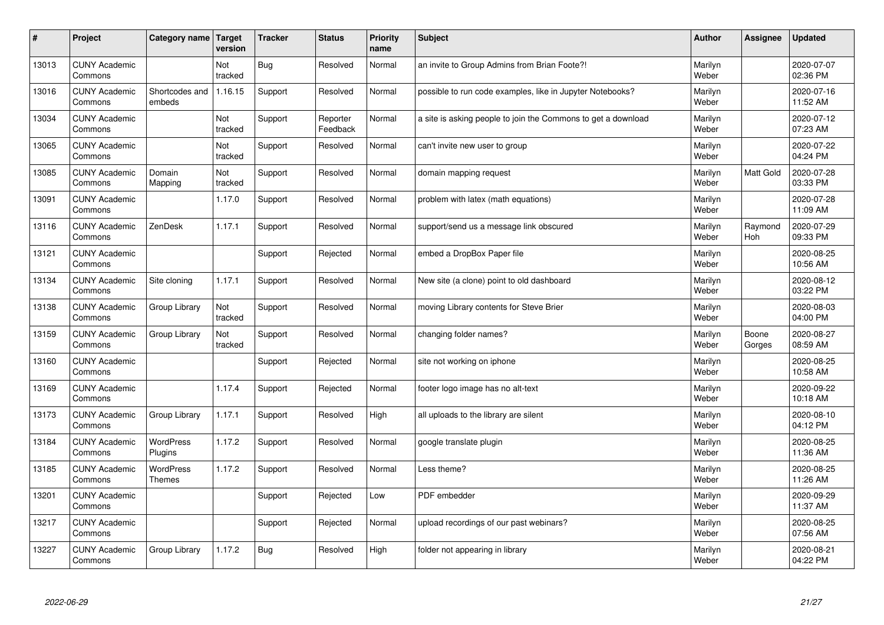| $\pmb{\#}$ | Project                         | Category name                     | Target<br>version | <b>Tracker</b> | <b>Status</b>        | <b>Priority</b><br>name | <b>Subject</b>                                                | <b>Author</b>    | Assignee        | <b>Updated</b>         |
|------------|---------------------------------|-----------------------------------|-------------------|----------------|----------------------|-------------------------|---------------------------------------------------------------|------------------|-----------------|------------------------|
| 13013      | <b>CUNY Academic</b><br>Commons |                                   | Not<br>tracked    | <b>Bug</b>     | Resolved             | Normal                  | an invite to Group Admins from Brian Foote?!                  | Marilyn<br>Weber |                 | 2020-07-07<br>02:36 PM |
| 13016      | <b>CUNY Academic</b><br>Commons | Shortcodes and<br>embeds          | 1.16.15           | Support        | Resolved             | Normal                  | possible to run code examples, like in Jupyter Notebooks?     | Marilyn<br>Weber |                 | 2020-07-16<br>11:52 AM |
| 13034      | <b>CUNY Academic</b><br>Commons |                                   | Not<br>tracked    | Support        | Reporter<br>Feedback | Normal                  | a site is asking people to join the Commons to get a download | Marilyn<br>Weber |                 | 2020-07-12<br>07:23 AM |
| 13065      | <b>CUNY Academic</b><br>Commons |                                   | Not<br>tracked    | Support        | Resolved             | Normal                  | can't invite new user to group                                | Marilyn<br>Weber |                 | 2020-07-22<br>04:24 PM |
| 13085      | <b>CUNY Academic</b><br>Commons | Domain<br>Mapping                 | Not<br>tracked    | Support        | Resolved             | Normal                  | domain mapping request                                        | Marilyn<br>Weber | Matt Gold       | 2020-07-28<br>03:33 PM |
| 13091      | <b>CUNY Academic</b><br>Commons |                                   | 1.17.0            | Support        | Resolved             | Normal                  | problem with latex (math equations)                           | Marilyn<br>Weber |                 | 2020-07-28<br>11:09 AM |
| 13116      | <b>CUNY Academic</b><br>Commons | ZenDesk                           | 1.17.1            | Support        | Resolved             | Normal                  | support/send us a message link obscured                       | Marilyn<br>Weber | Raymond<br>Hoh  | 2020-07-29<br>09:33 PM |
| 13121      | <b>CUNY Academic</b><br>Commons |                                   |                   | Support        | Rejected             | Normal                  | embed a DropBox Paper file                                    | Marilyn<br>Weber |                 | 2020-08-25<br>10:56 AM |
| 13134      | <b>CUNY Academic</b><br>Commons | Site cloning                      | 1.17.1            | Support        | Resolved             | Normal                  | New site (a clone) point to old dashboard                     | Marilyn<br>Weber |                 | 2020-08-12<br>03:22 PM |
| 13138      | <b>CUNY Academic</b><br>Commons | Group Library                     | Not<br>tracked    | Support        | Resolved             | Normal                  | moving Library contents for Steve Brier                       | Marilyn<br>Weber |                 | 2020-08-03<br>04:00 PM |
| 13159      | <b>CUNY Academic</b><br>Commons | Group Library                     | Not<br>tracked    | Support        | Resolved             | Normal                  | changing folder names?                                        | Marilyn<br>Weber | Boone<br>Gorges | 2020-08-27<br>08:59 AM |
| 13160      | <b>CUNY Academic</b><br>Commons |                                   |                   | Support        | Rejected             | Normal                  | site not working on iphone                                    | Marilyn<br>Weber |                 | 2020-08-25<br>10:58 AM |
| 13169      | <b>CUNY Academic</b><br>Commons |                                   | 1.17.4            | Support        | Rejected             | Normal                  | footer logo image has no alt-text                             | Marilyn<br>Weber |                 | 2020-09-22<br>10:18 AM |
| 13173      | <b>CUNY Academic</b><br>Commons | Group Library                     | 1.17.1            | Support        | Resolved             | High                    | all uploads to the library are silent                         | Marilyn<br>Weber |                 | 2020-08-10<br>04:12 PM |
| 13184      | <b>CUNY Academic</b><br>Commons | <b>WordPress</b><br>Plugins       | 1.17.2            | Support        | Resolved             | Normal                  | google translate plugin                                       | Marilyn<br>Weber |                 | 2020-08-25<br>11:36 AM |
| 13185      | <b>CUNY Academic</b><br>Commons | <b>WordPress</b><br><b>Themes</b> | 1.17.2            | Support        | Resolved             | Normal                  | Less theme?                                                   | Marilyn<br>Weber |                 | 2020-08-25<br>11:26 AM |
| 13201      | <b>CUNY Academic</b><br>Commons |                                   |                   | Support        | Rejected             | Low                     | <b>PDF</b> embedder                                           | Marilyn<br>Weber |                 | 2020-09-29<br>11:37 AM |
| 13217      | <b>CUNY Academic</b><br>Commons |                                   |                   | Support        | Rejected             | Normal                  | upload recordings of our past webinars?                       | Marilyn<br>Weber |                 | 2020-08-25<br>07:56 AM |
| 13227      | <b>CUNY Academic</b><br>Commons | Group Library                     | 1.17.2            | Bug            | Resolved             | High                    | folder not appearing in library                               | Marilyn<br>Weber |                 | 2020-08-21<br>04:22 PM |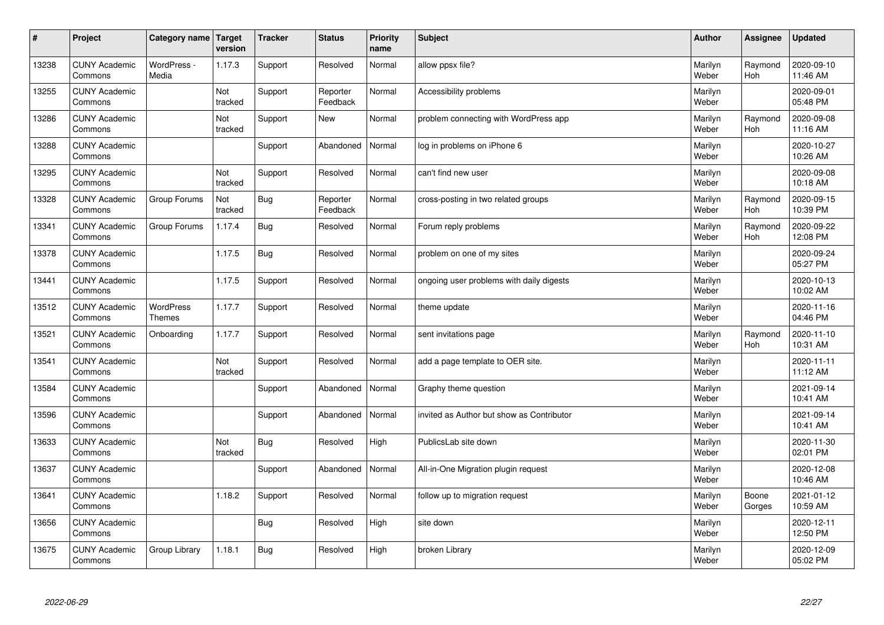| $\sharp$ | Project                         | Category name   Target     | version        | <b>Tracker</b> | <b>Status</b>        | <b>Priority</b><br>name | <b>Subject</b>                            | <b>Author</b>    | Assignee              | Updated                |
|----------|---------------------------------|----------------------------|----------------|----------------|----------------------|-------------------------|-------------------------------------------|------------------|-----------------------|------------------------|
| 13238    | <b>CUNY Academic</b><br>Commons | WordPress -<br>Media       | 1.17.3         | Support        | Resolved             | Normal                  | allow ppsx file?                          | Marilyn<br>Weber | Raymond<br><b>Hoh</b> | 2020-09-10<br>11:46 AM |
| 13255    | <b>CUNY Academic</b><br>Commons |                            | Not<br>tracked | Support        | Reporter<br>Feedback | Normal                  | Accessibility problems                    | Marilyn<br>Weber |                       | 2020-09-01<br>05:48 PM |
| 13286    | <b>CUNY Academic</b><br>Commons |                            | Not<br>tracked | Support        | <b>New</b>           | Normal                  | problem connecting with WordPress app     | Marilyn<br>Weber | Raymond<br><b>Hoh</b> | 2020-09-08<br>11:16 AM |
| 13288    | <b>CUNY Academic</b><br>Commons |                            |                | Support        | Abandoned            | Normal                  | log in problems on iPhone 6               | Marilyn<br>Weber |                       | 2020-10-27<br>10:26 AM |
| 13295    | <b>CUNY Academic</b><br>Commons |                            | Not<br>tracked | Support        | Resolved             | Normal                  | can't find new user                       | Marilyn<br>Weber |                       | 2020-09-08<br>10:18 AM |
| 13328    | <b>CUNY Academic</b><br>Commons | Group Forums               | Not<br>tracked | Bug            | Reporter<br>Feedback | Normal                  | cross-posting in two related groups       | Marilyn<br>Weber | Raymond<br>Hoh        | 2020-09-15<br>10:39 PM |
| 13341    | <b>CUNY Academic</b><br>Commons | Group Forums               | 1.17.4         | Bug            | Resolved             | Normal                  | Forum reply problems                      | Marilyn<br>Weber | Raymond<br>Hoh        | 2020-09-22<br>12:08 PM |
| 13378    | <b>CUNY Academic</b><br>Commons |                            | 1.17.5         | Bug            | Resolved             | Normal                  | problem on one of my sites                | Marilyn<br>Weber |                       | 2020-09-24<br>05:27 PM |
| 13441    | <b>CUNY Academic</b><br>Commons |                            | 1.17.5         | Support        | Resolved             | Normal                  | ongoing user problems with daily digests  | Marilyn<br>Weber |                       | 2020-10-13<br>10:02 AM |
| 13512    | <b>CUNY Academic</b><br>Commons | WordPress<br><b>Themes</b> | 1.17.7         | Support        | Resolved             | Normal                  | theme update                              | Marilyn<br>Weber |                       | 2020-11-16<br>04:46 PM |
| 13521    | <b>CUNY Academic</b><br>Commons | Onboarding                 | 1.17.7         | Support        | Resolved             | Normal                  | sent invitations page                     | Marilyn<br>Weber | Raymond<br>Hoh        | 2020-11-10<br>10:31 AM |
| 13541    | <b>CUNY Academic</b><br>Commons |                            | Not<br>tracked | Support        | Resolved             | Normal                  | add a page template to OER site.          | Marilyn<br>Weber |                       | 2020-11-11<br>11:12 AM |
| 13584    | <b>CUNY Academic</b><br>Commons |                            |                | Support        | Abandoned            | Normal                  | Graphy theme question                     | Marilyn<br>Weber |                       | 2021-09-14<br>10:41 AM |
| 13596    | <b>CUNY Academic</b><br>Commons |                            |                | Support        | Abandoned            | Normal                  | invited as Author but show as Contributor | Marilyn<br>Weber |                       | 2021-09-14<br>10:41 AM |
| 13633    | <b>CUNY Academic</b><br>Commons |                            | Not<br>tracked | Bug            | Resolved             | High                    | PublicsLab site down                      | Marilyn<br>Weber |                       | 2020-11-30<br>02:01 PM |
| 13637    | <b>CUNY Academic</b><br>Commons |                            |                | Support        | Abandoned            | Normal                  | All-in-One Migration plugin request       | Marilyn<br>Weber |                       | 2020-12-08<br>10:46 AM |
| 13641    | <b>CUNY Academic</b><br>Commons |                            | 1.18.2         | Support        | Resolved             | Normal                  | follow up to migration request            | Marilyn<br>Weber | Boone<br>Gorges       | 2021-01-12<br>10:59 AM |
| 13656    | <b>CUNY Academic</b><br>Commons |                            |                | <b>Bug</b>     | Resolved             | High                    | site down                                 | Marilyn<br>Weber |                       | 2020-12-11<br>12:50 PM |
| 13675    | <b>CUNY Academic</b><br>Commons | Group Library              | 1.18.1         | Bug            | Resolved             | High                    | broken Library                            | Marilyn<br>Weber |                       | 2020-12-09<br>05:02 PM |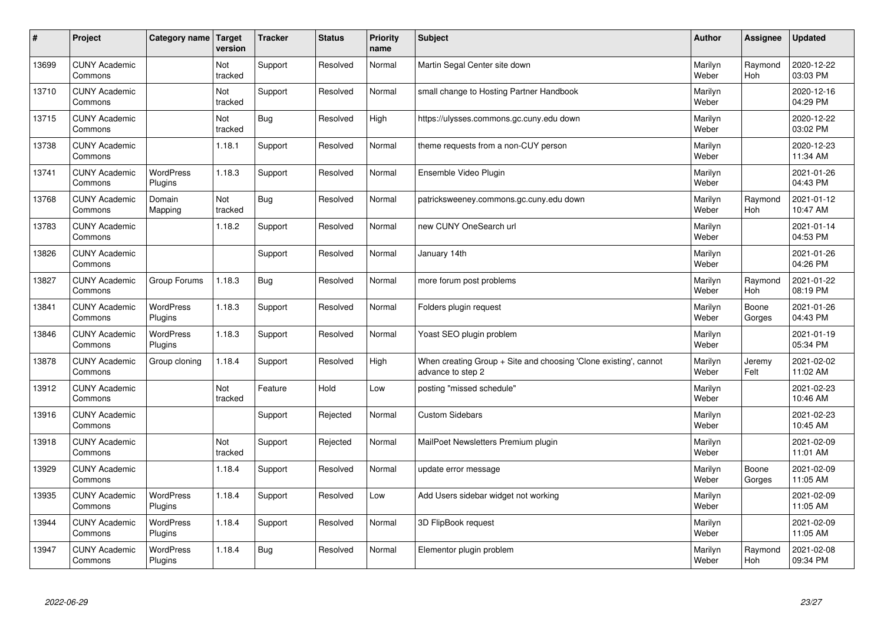| $\pmb{\#}$ | Project                         | Category name               | Target<br>version | <b>Tracker</b> | <b>Status</b> | <b>Priority</b><br>name | <b>Subject</b>                                                                        | <b>Author</b>    | Assignee        | <b>Updated</b>         |
|------------|---------------------------------|-----------------------------|-------------------|----------------|---------------|-------------------------|---------------------------------------------------------------------------------------|------------------|-----------------|------------------------|
| 13699      | <b>CUNY Academic</b><br>Commons |                             | Not<br>tracked    | Support        | Resolved      | Normal                  | Martin Segal Center site down                                                         | Marilyn<br>Weber | Raymond<br>Hoh  | 2020-12-22<br>03:03 PM |
| 13710      | <b>CUNY Academic</b><br>Commons |                             | Not<br>tracked    | Support        | Resolved      | Normal                  | small change to Hosting Partner Handbook                                              | Marilyn<br>Weber |                 | 2020-12-16<br>04:29 PM |
| 13715      | <b>CUNY Academic</b><br>Commons |                             | Not<br>tracked    | <b>Bug</b>     | Resolved      | High                    | https://ulysses.commons.gc.cuny.edu down                                              | Marilyn<br>Weber |                 | 2020-12-22<br>03:02 PM |
| 13738      | <b>CUNY Academic</b><br>Commons |                             | 1.18.1            | Support        | Resolved      | Normal                  | theme requests from a non-CUY person                                                  | Marilyn<br>Weber |                 | 2020-12-23<br>11:34 AM |
| 13741      | <b>CUNY Academic</b><br>Commons | <b>WordPress</b><br>Plugins | 1.18.3            | Support        | Resolved      | Normal                  | Ensemble Video Plugin                                                                 | Marilyn<br>Weber |                 | 2021-01-26<br>04:43 PM |
| 13768      | <b>CUNY Academic</b><br>Commons | Domain<br>Mapping           | Not<br>tracked    | <b>Bug</b>     | Resolved      | Normal                  | patricksweeney.commons.gc.cuny.edu down                                               | Marilyn<br>Weber | Raymond<br>Hoh  | 2021-01-12<br>10:47 AM |
| 13783      | <b>CUNY Academic</b><br>Commons |                             | 1.18.2            | Support        | Resolved      | Normal                  | new CUNY OneSearch url                                                                | Marilyn<br>Weber |                 | 2021-01-14<br>04:53 PM |
| 13826      | <b>CUNY Academic</b><br>Commons |                             |                   | Support        | Resolved      | Normal                  | January 14th                                                                          | Marilyn<br>Weber |                 | 2021-01-26<br>04:26 PM |
| 13827      | <b>CUNY Academic</b><br>Commons | Group Forums                | 1.18.3            | Bug            | Resolved      | Normal                  | more forum post problems                                                              | Marilyn<br>Weber | Raymond<br>Hoh  | 2021-01-22<br>08:19 PM |
| 13841      | <b>CUNY Academic</b><br>Commons | WordPress<br>Plugins        | 1.18.3            | Support        | Resolved      | Normal                  | Folders plugin request                                                                | Marilyn<br>Weber | Boone<br>Gorges | 2021-01-26<br>04:43 PM |
| 13846      | <b>CUNY Academic</b><br>Commons | WordPress<br>Plugins        | 1.18.3            | Support        | Resolved      | Normal                  | Yoast SEO plugin problem                                                              | Marilyn<br>Weber |                 | 2021-01-19<br>05:34 PM |
| 13878      | <b>CUNY Academic</b><br>Commons | Group cloning               | 1.18.4            | Support        | Resolved      | High                    | When creating Group + Site and choosing 'Clone existing', cannot<br>advance to step 2 | Marilyn<br>Weber | Jeremy<br>Felt  | 2021-02-02<br>11:02 AM |
| 13912      | <b>CUNY Academic</b><br>Commons |                             | Not<br>tracked    | Feature        | Hold          | Low                     | posting "missed schedule"                                                             | Marilyn<br>Weber |                 | 2021-02-23<br>10:46 AM |
| 13916      | <b>CUNY Academic</b><br>Commons |                             |                   | Support        | Rejected      | Normal                  | <b>Custom Sidebars</b>                                                                | Marilyn<br>Weber |                 | 2021-02-23<br>10:45 AM |
| 13918      | <b>CUNY Academic</b><br>Commons |                             | Not<br>tracked    | Support        | Rejected      | Normal                  | MailPoet Newsletters Premium plugin                                                   | Marilyn<br>Weber |                 | 2021-02-09<br>11:01 AM |
| 13929      | <b>CUNY Academic</b><br>Commons |                             | 1.18.4            | Support        | Resolved      | Normal                  | update error message                                                                  | Marilyn<br>Weber | Boone<br>Gorges | 2021-02-09<br>11:05 AM |
| 13935      | <b>CUNY Academic</b><br>Commons | WordPress<br>Plugins        | 1.18.4            | Support        | Resolved      | Low                     | Add Users sidebar widget not working                                                  | Marilyn<br>Weber |                 | 2021-02-09<br>11:05 AM |
| 13944      | <b>CUNY Academic</b><br>Commons | WordPress<br>Plugins        | 1.18.4            | Support        | Resolved      | Normal                  | 3D FlipBook request                                                                   | Marilyn<br>Weber |                 | 2021-02-09<br>11:05 AM |
| 13947      | <b>CUNY Academic</b><br>Commons | <b>WordPress</b><br>Plugins | 1.18.4            | Bug            | Resolved      | Normal                  | Elementor plugin problem                                                              | Marilyn<br>Weber | Raymond<br>Hoh  | 2021-02-08<br>09:34 PM |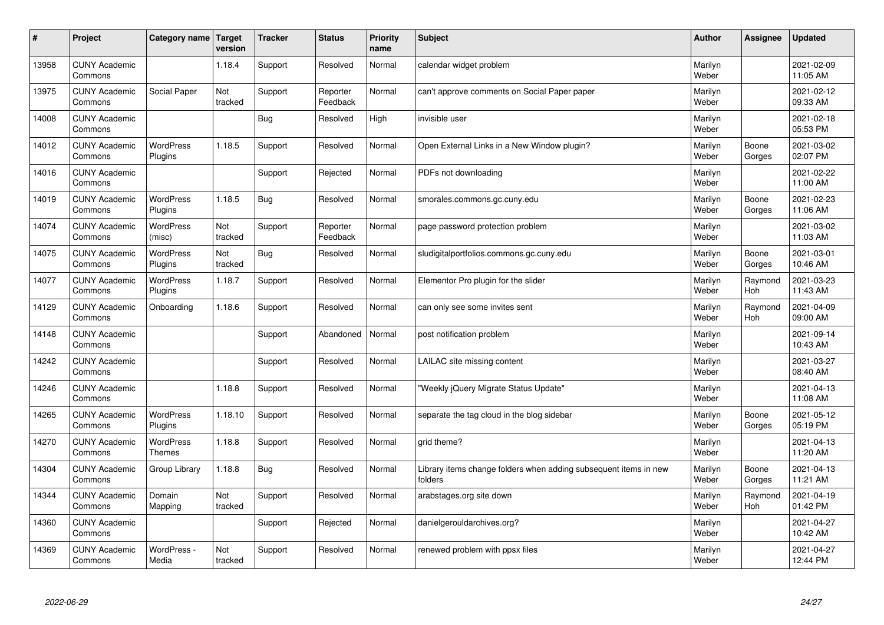| $\sharp$ | Project                         | Category name   Target             | version        | <b>Tracker</b> | <b>Status</b>        | <b>Priority</b><br>name | <b>Subject</b>                                                              | <b>Author</b>    | Assignee              | <b>Updated</b>         |
|----------|---------------------------------|------------------------------------|----------------|----------------|----------------------|-------------------------|-----------------------------------------------------------------------------|------------------|-----------------------|------------------------|
| 13958    | <b>CUNY Academic</b><br>Commons |                                    | 1.18.4         | Support        | Resolved             | Normal                  | calendar widget problem                                                     | Marilyn<br>Weber |                       | 2021-02-09<br>11:05 AM |
| 13975    | <b>CUNY Academic</b><br>Commons | Social Paper                       | Not<br>tracked | Support        | Reporter<br>Feedback | Normal                  | can't approve comments on Social Paper paper                                | Marilyn<br>Weber |                       | 2021-02-12<br>09:33 AM |
| 14008    | <b>CUNY Academic</b><br>Commons |                                    |                | <b>Bug</b>     | Resolved             | High                    | invisible user                                                              | Marilyn<br>Weber |                       | 2021-02-18<br>05:53 PM |
| 14012    | <b>CUNY Academic</b><br>Commons | <b>WordPress</b><br>Plugins        | 1.18.5         | Support        | Resolved             | Normal                  | Open External Links in a New Window plugin?                                 | Marilyn<br>Weber | Boone<br>Gorges       | 2021-03-02<br>02:07 PM |
| 14016    | <b>CUNY Academic</b><br>Commons |                                    |                | Support        | Rejected             | Normal                  | PDFs not downloading                                                        | Marilyn<br>Weber |                       | 2021-02-22<br>11:00 AM |
| 14019    | <b>CUNY Academic</b><br>Commons | <b>WordPress</b><br><b>Plugins</b> | 1.18.5         | Bug            | Resolved             | Normal                  | smorales.commons.gc.cuny.edu                                                | Marilyn<br>Weber | Boone<br>Gorges       | 2021-02-23<br>11:06 AM |
| 14074    | <b>CUNY Academic</b><br>Commons | <b>WordPress</b><br>(misc)         | Not<br>tracked | Support        | Reporter<br>Feedback | Normal                  | page password protection problem                                            | Marilyn<br>Weber |                       | 2021-03-02<br>11:03 AM |
| 14075    | <b>CUNY Academic</b><br>Commons | WordPress<br>Plugins               | Not<br>tracked | <b>Bug</b>     | Resolved             | Normal                  | sludigitalportfolios.commons.gc.cuny.edu                                    | Marilyn<br>Weber | Boone<br>Gorges       | 2021-03-01<br>10:46 AM |
| 14077    | <b>CUNY Academic</b><br>Commons | WordPress<br>Plugins               | 1.18.7         | Support        | Resolved             | Normal                  | Elementor Pro plugin for the slider                                         | Marilyn<br>Weber | Raymond<br>Hoh        | 2021-03-23<br>11:43 AM |
| 14129    | <b>CUNY Academic</b><br>Commons | Onboarding                         | 1.18.6         | Support        | Resolved             | Normal                  | can only see some invites sent                                              | Marilyn<br>Weber | Raymond<br><b>Hoh</b> | 2021-04-09<br>09:00 AM |
| 14148    | <b>CUNY Academic</b><br>Commons |                                    |                | Support        | Abandoned            | Normal                  | post notification problem                                                   | Marilyn<br>Weber |                       | 2021-09-14<br>10:43 AM |
| 14242    | <b>CUNY Academic</b><br>Commons |                                    |                | Support        | Resolved             | Normal                  | LAILAC site missing content                                                 | Marilyn<br>Weber |                       | 2021-03-27<br>08:40 AM |
| 14246    | <b>CUNY Academic</b><br>Commons |                                    | 1.18.8         | Support        | Resolved             | Normal                  | 'Weekly jQuery Migrate Status Update"                                       | Marilyn<br>Weber |                       | 2021-04-13<br>11:08 AM |
| 14265    | <b>CUNY Academic</b><br>Commons | WordPress<br>Plugins               | 1.18.10        | Support        | Resolved             | Normal                  | separate the tag cloud in the blog sidebar                                  | Marilyn<br>Weber | Boone<br>Gorges       | 2021-05-12<br>05:19 PM |
| 14270    | <b>CUNY Academic</b><br>Commons | WordPress<br><b>Themes</b>         | 1.18.8         | Support        | Resolved             | Normal                  | grid theme?                                                                 | Marilyn<br>Weber |                       | 2021-04-13<br>11:20 AM |
| 14304    | <b>CUNY Academic</b><br>Commons | Group Library                      | 1.18.8         | Bug            | Resolved             | Normal                  | Library items change folders when adding subsequent items in new<br>folders | Marilyn<br>Weber | Boone<br>Gorges       | 2021-04-13<br>11:21 AM |
| 14344    | <b>CUNY Academic</b><br>Commons | Domain<br>Mapping                  | Not<br>tracked | Support        | Resolved             | Normal                  | arabstages.org site down                                                    | Marilyn<br>Weber | Raymond<br><b>Hoh</b> | 2021-04-19<br>01:42 PM |
| 14360    | <b>CUNY Academic</b><br>Commons |                                    |                | Support        | Rejected             | Normal                  | danielgerouldarchives.org?                                                  | Marilyn<br>Weber |                       | 2021-04-27<br>10:42 AM |
| 14369    | <b>CUNY Academic</b><br>Commons | WordPress -<br>Media               | Not<br>tracked | Support        | Resolved             | Normal                  | renewed problem with ppsx files                                             | Marilyn<br>Weber |                       | 2021-04-27<br>12:44 PM |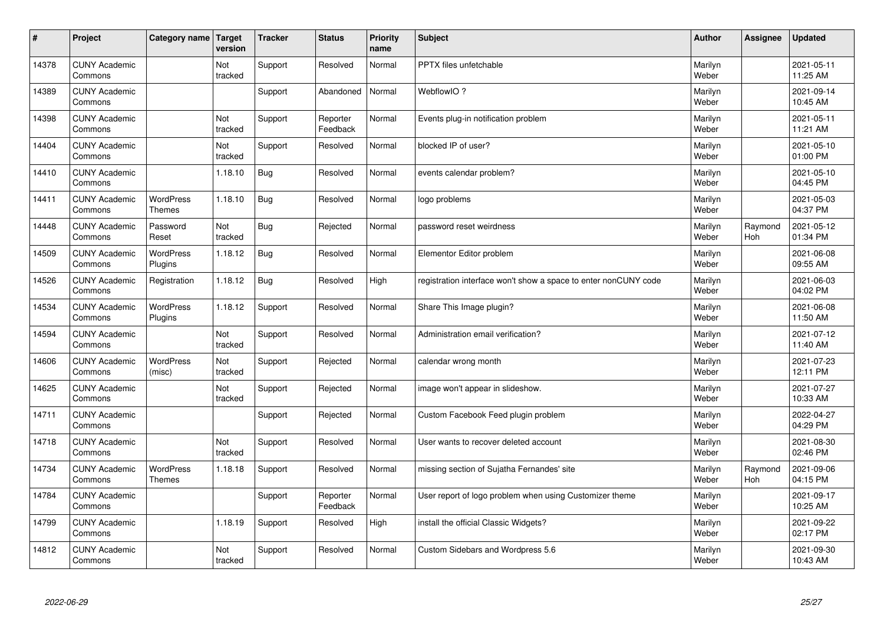| #     | Project                         | Category name   Target            | version        | <b>Tracker</b> | <b>Status</b>        | <b>Priority</b><br>name | <b>Subject</b>                                                  | <b>Author</b>    | Assignee       | <b>Updated</b>         |
|-------|---------------------------------|-----------------------------------|----------------|----------------|----------------------|-------------------------|-----------------------------------------------------------------|------------------|----------------|------------------------|
| 14378 | <b>CUNY Academic</b><br>Commons |                                   | Not<br>tracked | Support        | Resolved             | Normal                  | <b>PPTX</b> files unfetchable                                   | Marilyn<br>Weber |                | 2021-05-11<br>11:25 AM |
| 14389 | <b>CUNY Academic</b><br>Commons |                                   |                | Support        | Abandoned            | Normal                  | WebflowIO?                                                      | Marilyn<br>Weber |                | 2021-09-14<br>10:45 AM |
| 14398 | <b>CUNY Academic</b><br>Commons |                                   | Not<br>tracked | Support        | Reporter<br>Feedback | Normal                  | Events plug-in notification problem                             | Marilyn<br>Weber |                | 2021-05-11<br>11:21 AM |
| 14404 | <b>CUNY Academic</b><br>Commons |                                   | Not<br>tracked | Support        | Resolved             | Normal                  | blocked IP of user?                                             | Marilyn<br>Weber |                | 2021-05-10<br>01:00 PM |
| 14410 | <b>CUNY Academic</b><br>Commons |                                   | 1.18.10        | Bug            | Resolved             | Normal                  | events calendar problem?                                        | Marilyn<br>Weber |                | 2021-05-10<br>04:45 PM |
| 14411 | <b>CUNY Academic</b><br>Commons | <b>WordPress</b><br><b>Themes</b> | 1.18.10        | <b>Bug</b>     | Resolved             | Normal                  | logo problems                                                   | Marilyn<br>Weber |                | 2021-05-03<br>04:37 PM |
| 14448 | <b>CUNY Academic</b><br>Commons | Password<br>Reset                 | Not<br>tracked | <b>Bug</b>     | Rejected             | Normal                  | password reset weirdness                                        | Marilyn<br>Weber | Raymond<br>Hoh | 2021-05-12<br>01:34 PM |
| 14509 | <b>CUNY Academic</b><br>Commons | WordPress<br>Plugins              | 1.18.12        | <b>Bug</b>     | Resolved             | Normal                  | Elementor Editor problem                                        | Marilyn<br>Weber |                | 2021-06-08<br>09:55 AM |
| 14526 | <b>CUNY Academic</b><br>Commons | Registration                      | 1.18.12        | Bug            | Resolved             | High                    | registration interface won't show a space to enter nonCUNY code | Marilyn<br>Weber |                | 2021-06-03<br>04:02 PM |
| 14534 | <b>CUNY Academic</b><br>Commons | WordPress<br>Plugins              | 1.18.12        | Support        | Resolved             | Normal                  | Share This Image plugin?                                        | Marilyn<br>Weber |                | 2021-06-08<br>11:50 AM |
| 14594 | <b>CUNY Academic</b><br>Commons |                                   | Not<br>tracked | Support        | Resolved             | Normal                  | Administration email verification?                              | Marilyn<br>Weber |                | 2021-07-12<br>11:40 AM |
| 14606 | <b>CUNY Academic</b><br>Commons | WordPress<br>(misc)               | Not<br>tracked | Support        | Rejected             | Normal                  | calendar wrong month                                            | Marilyn<br>Weber |                | 2021-07-23<br>12:11 PM |
| 14625 | <b>CUNY Academic</b><br>Commons |                                   | Not<br>tracked | Support        | Rejected             | Normal                  | image won't appear in slideshow.                                | Marilyn<br>Weber |                | 2021-07-27<br>10:33 AM |
| 14711 | <b>CUNY Academic</b><br>Commons |                                   |                | Support        | Rejected             | Normal                  | Custom Facebook Feed plugin problem                             | Marilyn<br>Weber |                | 2022-04-27<br>04:29 PM |
| 14718 | <b>CUNY Academic</b><br>Commons |                                   | Not<br>tracked | Support        | Resolved             | Normal                  | User wants to recover deleted account                           | Marilyn<br>Weber |                | 2021-08-30<br>02:46 PM |
| 14734 | <b>CUNY Academic</b><br>Commons | <b>WordPress</b><br><b>Themes</b> | 1.18.18        | Support        | Resolved             | Normal                  | missing section of Sujatha Fernandes' site                      | Marilyn<br>Weber | Raymond<br>Hoh | 2021-09-06<br>04:15 PM |
| 14784 | <b>CUNY Academic</b><br>Commons |                                   |                | Support        | Reporter<br>Feedback | Normal                  | User report of logo problem when using Customizer theme         | Marilyn<br>Weber |                | 2021-09-17<br>10:25 AM |
| 14799 | <b>CUNY Academic</b><br>Commons |                                   | 1.18.19        | Support        | Resolved             | High                    | install the official Classic Widgets?                           | Marilyn<br>Weber |                | 2021-09-22<br>02:17 PM |
| 14812 | <b>CUNY Academic</b><br>Commons |                                   | Not<br>tracked | Support        | Resolved             | Normal                  | Custom Sidebars and Wordpress 5.6                               | Marilyn<br>Weber |                | 2021-09-30<br>10:43 AM |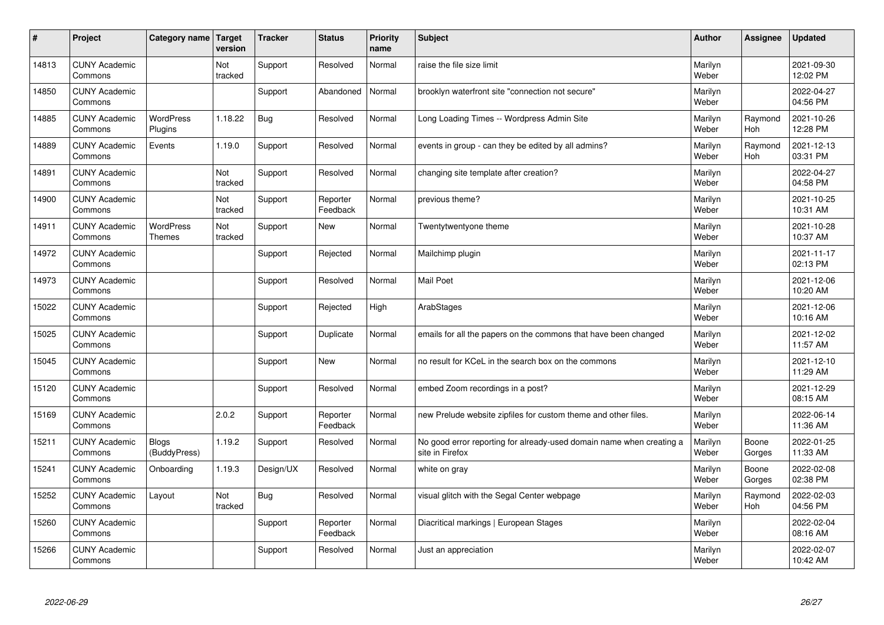| $\sharp$ | Project                         | Category name   Target            | version        | <b>Tracker</b> | <b>Status</b>        | <b>Priority</b><br>name | <b>Subject</b>                                                                          | <b>Author</b>    | Assignee              | <b>Updated</b>         |
|----------|---------------------------------|-----------------------------------|----------------|----------------|----------------------|-------------------------|-----------------------------------------------------------------------------------------|------------------|-----------------------|------------------------|
| 14813    | <b>CUNY Academic</b><br>Commons |                                   | Not<br>tracked | Support        | Resolved             | Normal                  | raise the file size limit                                                               | Marilyn<br>Weber |                       | 2021-09-30<br>12:02 PM |
| 14850    | <b>CUNY Academic</b><br>Commons |                                   |                | Support        | Abandoned            | Normal                  | brooklyn waterfront site "connection not secure"                                        | Marilyn<br>Weber |                       | 2022-04-27<br>04:56 PM |
| 14885    | <b>CUNY Academic</b><br>Commons | <b>WordPress</b><br>Plugins       | 1.18.22        | Bug            | Resolved             | Normal                  | Long Loading Times -- Wordpress Admin Site                                              | Marilyn<br>Weber | Raymond<br>Hoh        | 2021-10-26<br>12:28 PM |
| 14889    | <b>CUNY Academic</b><br>Commons | Events                            | 1.19.0         | Support        | Resolved             | Normal                  | events in group - can they be edited by all admins?                                     | Marilyn<br>Weber | Raymond<br>Hoh        | 2021-12-13<br>03:31 PM |
| 14891    | <b>CUNY Academic</b><br>Commons |                                   | Not<br>tracked | Support        | Resolved             | Normal                  | changing site template after creation?                                                  | Marilyn<br>Weber |                       | 2022-04-27<br>04:58 PM |
| 14900    | <b>CUNY Academic</b><br>Commons |                                   | Not<br>tracked | Support        | Reporter<br>Feedback | Normal                  | previous theme?                                                                         | Marilyn<br>Weber |                       | 2021-10-25<br>10:31 AM |
| 14911    | <b>CUNY Academic</b><br>Commons | <b>WordPress</b><br><b>Themes</b> | Not<br>tracked | Support        | <b>New</b>           | Normal                  | Twentytwentyone theme                                                                   | Marilyn<br>Weber |                       | 2021-10-28<br>10:37 AM |
| 14972    | <b>CUNY Academic</b><br>Commons |                                   |                | Support        | Rejected             | Normal                  | Mailchimp plugin                                                                        | Marilyn<br>Weber |                       | 2021-11-17<br>02:13 PM |
| 14973    | <b>CUNY Academic</b><br>Commons |                                   |                | Support        | Resolved             | Normal                  | <b>Mail Poet</b>                                                                        | Marilyn<br>Weber |                       | 2021-12-06<br>10:20 AM |
| 15022    | <b>CUNY Academic</b><br>Commons |                                   |                | Support        | Rejected             | High                    | ArabStages                                                                              | Marilyn<br>Weber |                       | 2021-12-06<br>10:16 AM |
| 15025    | <b>CUNY Academic</b><br>Commons |                                   |                | Support        | Duplicate            | Normal                  | emails for all the papers on the commons that have been changed                         | Marilyn<br>Weber |                       | 2021-12-02<br>11:57 AM |
| 15045    | <b>CUNY Academic</b><br>Commons |                                   |                | Support        | New                  | Normal                  | no result for KCeL in the search box on the commons                                     | Marilyn<br>Weber |                       | 2021-12-10<br>11:29 AM |
| 15120    | <b>CUNY Academic</b><br>Commons |                                   |                | Support        | Resolved             | Normal                  | embed Zoom recordings in a post?                                                        | Marilyn<br>Weber |                       | 2021-12-29<br>08:15 AM |
| 15169    | <b>CUNY Academic</b><br>Commons |                                   | 2.0.2          | Support        | Reporter<br>Feedback | Normal                  | new Prelude website zipfiles for custom theme and other files.                          | Marilyn<br>Weber |                       | 2022-06-14<br>11:36 AM |
| 15211    | <b>CUNY Academic</b><br>Commons | <b>Blogs</b><br>(BuddyPress)      | 1.19.2         | Support        | Resolved             | Normal                  | No good error reporting for already-used domain name when creating a<br>site in Firefox | Marilyn<br>Weber | Boone<br>Gorges       | 2022-01-25<br>11:33 AM |
| 15241    | <b>CUNY Academic</b><br>Commons | Onboarding                        | 1.19.3         | Design/UX      | Resolved             | Normal                  | white on gray                                                                           | Marilyn<br>Weber | Boone<br>Gorges       | 2022-02-08<br>02:38 PM |
| 15252    | <b>CUNY Academic</b><br>Commons | Layout                            | Not<br>tracked | Bug            | Resolved             | Normal                  | visual glitch with the Segal Center webpage                                             | Marilyn<br>Weber | Raymond<br><b>Hoh</b> | 2022-02-03<br>04:56 PM |
| 15260    | <b>CUNY Academic</b><br>Commons |                                   |                | Support        | Reporter<br>Feedback | Normal                  | Diacritical markings   European Stages                                                  | Marilyn<br>Weber |                       | 2022-02-04<br>08:16 AM |
| 15266    | <b>CUNY Academic</b><br>Commons |                                   |                | Support        | Resolved             | Normal                  | Just an appreciation                                                                    | Marilyn<br>Weber |                       | 2022-02-07<br>10:42 AM |